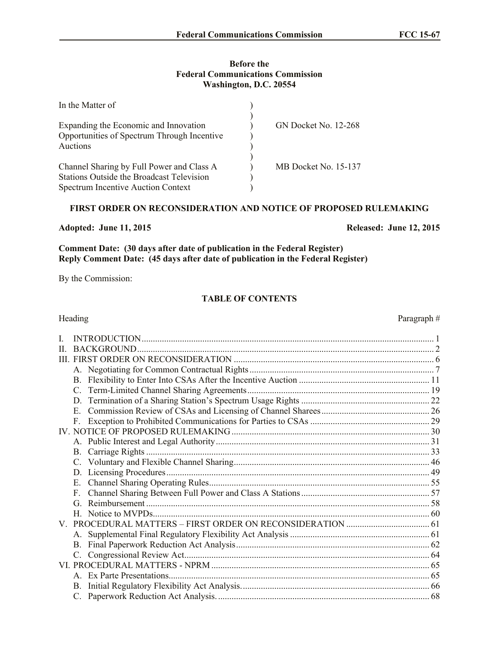### **Before the Federal Communications Commission Washington, D.C. 20554**

| In the Matter of                                 |                             |
|--------------------------------------------------|-----------------------------|
|                                                  |                             |
| Expanding the Economic and Innovation            | <b>GN Docket No. 12-268</b> |
| Opportunities of Spectrum Through Incentive      |                             |
| Auctions                                         |                             |
|                                                  |                             |
| Channel Sharing by Full Power and Class A        | MB Docket No. 15-137        |
| <b>Stations Outside the Broadcast Television</b> |                             |
| <b>Spectrum Incentive Auction Context</b>        |                             |

# **FIRST ORDER ON RECONSIDERATION AND NOTICE OF PROPOSED RULEMAKING**

**Adopted: June 11, 2015 Released: June 12, 2015**

**Comment Date: (30 days after date of publication in the Federal Register) Reply Comment Date: (45 days after date of publication in the Federal Register)**

By the Commission:

# **TABLE OF CONTENTS**

| Heading     | Paragraph# |
|-------------|------------|
| L           |            |
| H           |            |
|             |            |
|             |            |
|             |            |
|             |            |
|             |            |
| $E_{\rm c}$ |            |
| F.          |            |
|             |            |
|             |            |
| <b>B.</b>   |            |
|             |            |
|             |            |
| Е.          |            |
| F           |            |
| G           |            |
|             |            |
|             |            |
|             |            |
|             |            |
|             |            |
|             |            |
|             |            |
|             |            |
|             |            |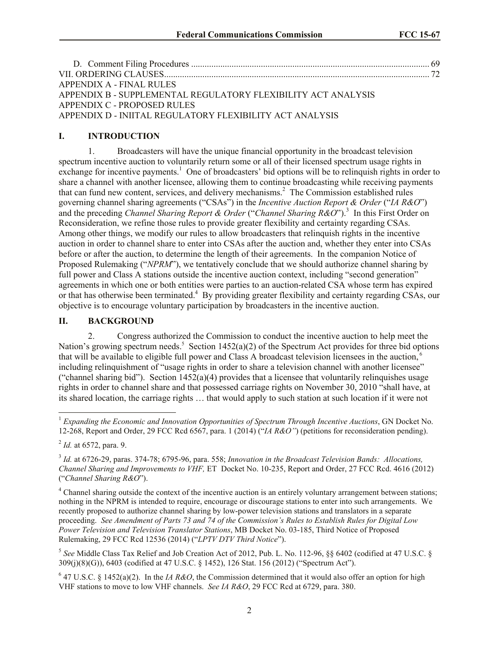| APPENDIX A - FINAL RULES                                      |  |
|---------------------------------------------------------------|--|
| APPENDIX B - SUPPLEMENTAL REGULATORY FLEXIBILITY ACT ANALYSIS |  |
| APPENDIX C - PROPOSED RULES                                   |  |
| APPENDIX D - INIITAL REGULATORY FLEXIBILITY ACT ANALYSIS      |  |

### **I. INTRODUCTION**

1. Broadcasters will have the unique financial opportunity in the broadcast television spectrum incentive auction to voluntarily return some or all of their licensed spectrum usage rights in exchange for incentive payments.<sup>1</sup> One of broadcasters' bid options will be to relinquish rights in order to share a channel with another licensee, allowing them to continue broadcasting while receiving payments that can fund new content, services, and delivery mechanisms.<sup>2</sup> The Commission established rules governing channel sharing agreements ("CSAs") in the *Incentive Auction Report & Order* ("*IA R&O*") and the preceding *Channel Sharing Report & Order* ("*Channel Sharing R&O*"). 3 In this First Order on Reconsideration, we refine those rules to provide greater flexibility and certainty regarding CSAs. Among other things, we modify our rules to allow broadcasters that relinquish rights in the incentive auction in order to channel share to enter into CSAs after the auction and, whether they enter into CSAs before or after the auction, to determine the length of their agreements. In the companion Notice of Proposed Rulemaking ("*NPRM*"), we tentatively conclude that we should authorize channel sharing by full power and Class A stations outside the incentive auction context, including "second generation" agreements in which one or both entities were parties to an auction-related CSA whose term has expired or that has otherwise been terminated.<sup>4</sup> By providing greater flexibility and certainty regarding CSAs, our objective is to encourage voluntary participation by broadcasters in the incentive auction.

### **II. BACKGROUND**

2. Congress authorized the Commission to conduct the incentive auction to help meet the Nation's growing spectrum needs.<sup>5</sup> Section 1452(a)(2) of the Spectrum Act provides for three bid options that will be available to eligible full power and Class A broadcast television licensees in the auction, <sup>6</sup> including relinquishment of "usage rights in order to share a television channel with another licensee" ("channel sharing bid"). Section  $1452(a)(4)$  provides that a licensee that voluntarily relinquishes usage rights in order to channel share and that possessed carriage rights on November 30, 2010 "shall have, at its shared location, the carriage rights … that would apply to such station at such location if it were not

 $\overline{a}$ 

<sup>&</sup>lt;sup>1</sup> Expanding the Economic and Innovation Opportunities of Spectrum Through Incentive Auctions, GN Docket No. 12-268, Report and Order, 29 FCC Rcd 6567, para. 1 (2014) ("*IA R&O"*) (petitions for reconsideration pending).

<sup>2</sup> *Id.* at 6572, para. 9.

<sup>3</sup> *Id.* at 6726-29, paras. 374-78; 6795-96, para. 558; *Innovation in the Broadcast Television Bands: Allocations, Channel Sharing and Improvements to VHF,* ET Docket No. 10-235, Report and Order, 27 FCC Rcd. 4616 (2012) ("*Channel Sharing R&O*").

<sup>&</sup>lt;sup>4</sup> Channel sharing outside the context of the incentive auction is an entirely voluntary arrangement between stations; nothing in the NPRM is intended to require, encourage or discourage stations to enter into such arrangements. We recently proposed to authorize channel sharing by low-power television stations and translators in a separate proceeding. *See Amendment of Parts 73 and 74 of the Commission's Rules to Establish Rules for Digital Low Power Television and Television Translator Stations*, MB Docket No. 03-185, Third Notice of Proposed Rulemaking, 29 FCC Rcd 12536 (2014) ("*LPTV DTV Third Notice*").

<sup>5</sup> *See* Middle Class Tax Relief and Job Creation Act of 2012, Pub. L. No. 112-96, §§ 6402 (codified at 47 U.S.C. § 309(j)(8)(G)), 6403 (codified at 47 U.S.C. § 1452), 126 Stat. 156 (2012) ("Spectrum Act").

 $6$  47 U.S.C. § 1452(a)(2). In the *IA R&O*, the Commission determined that it would also offer an option for high VHF stations to move to low VHF channels. *See IA R&O*, 29 FCC Rcd at 6729, para. 380.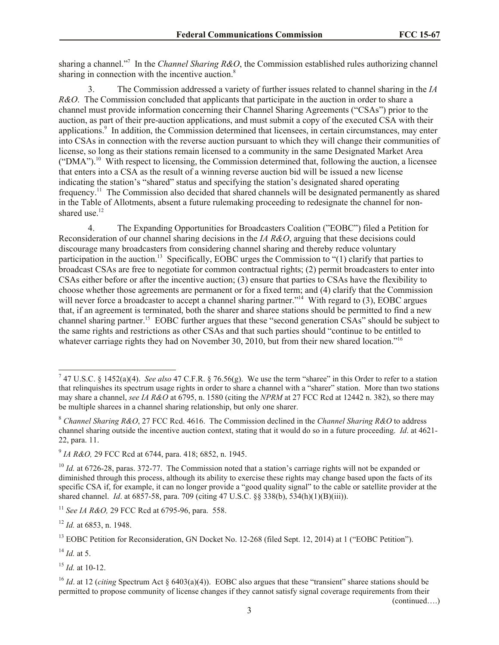sharing a channel."<sup>7</sup> In the *Channel Sharing R&O*, the Commission established rules authorizing channel sharing in connection with the incentive auction.<sup>8</sup>

3. The Commission addressed a variety of further issues related to channel sharing in the *IA R&O*. The Commission concluded that applicants that participate in the auction in order to share a channel must provide information concerning their Channel Sharing Agreements ("CSAs") prior to the auction, as part of their pre-auction applications, and must submit a copy of the executed CSA with their applications.<sup>9</sup> In addition, the Commission determined that licensees, in certain circumstances, may enter into CSAs in connection with the reverse auction pursuant to which they will change their communities of license, so long as their stations remain licensed to a community in the same Designated Market Area  $("DMA")$ .<sup>10</sup> With respect to licensing, the Commission determined that, following the auction, a licensee that enters into a CSA as the result of a winning reverse auction bid will be issued a new license indicating the station's "shared" status and specifying the station's designated shared operating frequency.<sup>11</sup> The Commission also decided that shared channels will be designated permanently as shared in the Table of Allotments, absent a future rulemaking proceeding to redesignate the channel for nonshared use $12$ 

4. The Expanding Opportunities for Broadcasters Coalition ("EOBC") filed a Petition for Reconsideration of our channel sharing decisions in the *IA R&O*, arguing that these decisions could discourage many broadcasters from considering channel sharing and thereby reduce voluntary participation in the auction.<sup>13</sup> Specifically, EOBC urges the Commission to "(1) clarify that parties to broadcast CSAs are free to negotiate for common contractual rights; (2) permit broadcasters to enter into CSAs either before or after the incentive auction; (3) ensure that parties to CSAs have the flexibility to choose whether those agreements are permanent or for a fixed term; and (4) clarify that the Commission will never force a broadcaster to accept a channel sharing partner."<sup>14</sup> With regard to  $(3)$ , EOBC argues that, if an agreement is terminated, both the sharer and sharee stations should be permitted to find a new channel sharing partner.<sup>15</sup> EOBC further argues that these "second generation CSAs" should be subject to the same rights and restrictions as other CSAs and that such parties should "continue to be entitled to whatever carriage rights they had on November 30, 2010, but from their new shared location."<sup>16</sup>

<sup>12</sup> *Id.* at 6853, n. 1948.

 $^{14}$  *Id.* at 5.

<sup>15</sup> *Id.* at 10-12.

(continued….)

 7 47 U.S.C. § 1452(a)(4). *See also* 47 C.F.R. § 76.56(g). We use the term "sharee" in this Order to refer to a station that relinquishes its spectrum usage rights in order to share a channel with a "sharer" station. More than two stations may share a channel, *see IA R&O* at 6795, n. 1580 (citing the *NPRM* at 27 FCC Rcd at 12442 n. 382), so there may be multiple sharees in a channel sharing relationship, but only one sharer.

<sup>8</sup> *Channel Sharing R&O*, 27 FCC Rcd. 4616. The Commission declined in the *Channel Sharing R&O* to address channel sharing outside the incentive auction context, stating that it would do so in a future proceeding. *Id*. at 4621- 22, para. 11.

<sup>9</sup> *IA R&O,* 29 FCC Rcd at 6744, para. 418; 6852, n. 1945.

<sup>&</sup>lt;sup>10</sup> *Id.* at 6726-28, paras. 372-77. The Commission noted that a station's carriage rights will not be expanded or diminished through this process, although its ability to exercise these rights may change based upon the facts of its specific CSA if, for example, it can no longer provide a "good quality signal" to the cable or satellite provider at the shared channel. *Id*. at 6857-58, para. 709 (citing 47 U.S.C. §§ 338(b), 534(h)(1)(B)(iii)).

<sup>11</sup> *See IA R&O,* 29 FCC Rcd at 6795-96, para. 558.

<sup>&</sup>lt;sup>13</sup> EOBC Petition for Reconsideration, GN Docket No. 12-268 (filed Sept. 12, 2014) at 1 ("EOBC Petition").

<sup>&</sup>lt;sup>16</sup> *Id.* at 12 (*citing* Spectrum Act § 6403(a)(4)). EOBC also argues that these "transient" sharee stations should be permitted to propose community of license changes if they cannot satisfy signal coverage requirements from their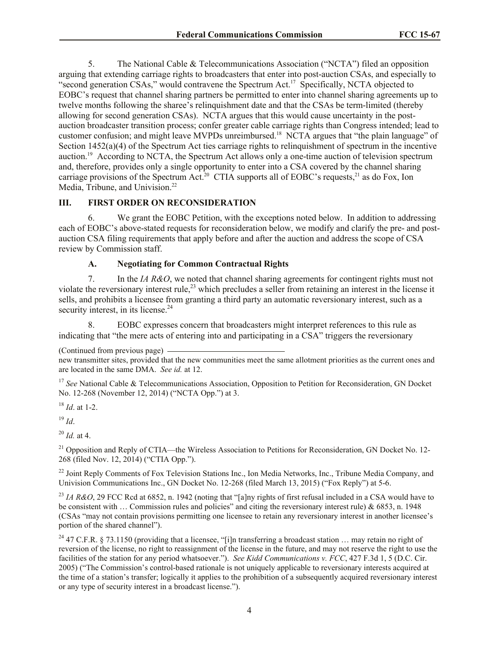5. The National Cable & Telecommunications Association ("NCTA") filed an opposition arguing that extending carriage rights to broadcasters that enter into post-auction CSAs, and especially to "second generation CSAs," would contravene the Spectrum Act.<sup>17</sup> Specifically, NCTA objected to EOBC's request that channel sharing partners be permitted to enter into channel sharing agreements up to twelve months following the sharee's relinquishment date and that the CSAs be term-limited (thereby allowing for second generation CSAs). NCTA argues that this would cause uncertainty in the postauction broadcaster transition process; confer greater cable carriage rights than Congress intended; lead to customer confusion; and might leave MVPDs unreimbursed.<sup>18</sup> NCTA argues that "the plain language" of Section 1452(a)(4) of the Spectrum Act ties carriage rights to relinquishment of spectrum in the incentive auction.<sup>19</sup> According to NCTA, the Spectrum Act allows only a one-time auction of television spectrum and, therefore, provides only a single opportunity to enter into a CSA covered by the channel sharing carriage provisions of the Spectrum Act.<sup>20</sup> CTIA supports all of EOBC's requests,<sup>21</sup> as do Fox, Ion Media, Tribune, and Univision.<sup>22</sup>

# **III. FIRST ORDER ON RECONSIDERATION**

6. We grant the EOBC Petition, with the exceptions noted below. In addition to addressing each of EOBC's above-stated requests for reconsideration below, we modify and clarify the pre- and postauction CSA filing requirements that apply before and after the auction and address the scope of CSA review by Commission staff.

# **A. Negotiating for Common Contractual Rights**

7. In the *IA R&O*, we noted that channel sharing agreements for contingent rights must not violate the reversionary interest rule,<sup>23</sup> which precludes a seller from retaining an interest in the license it sells, and prohibits a licensee from granting a third party an automatic reversionary interest, such as a security interest, in its license.<sup>24</sup>

8. EOBC expresses concern that broadcasters might interpret references to this rule as indicating that "the mere acts of entering into and participating in a CSA" triggers the reversionary

<sup>17</sup> See National Cable & Telecommunications Association, Opposition to Petition for Reconsideration, GN Docket No. 12-268 (November 12, 2014) ("NCTA Opp.") at 3.

<sup>18</sup> *Id*. at 1-2.

<sup>19</sup> *Id*.

<sup>20</sup> *Id.* at 4.

<sup>21</sup> Opposition and Reply of CTIA—the Wireless Association to Petitions for Reconsideration, GN Docket No. 12-268 (filed Nov. 12, 2014) ("CTIA Opp.").

<sup>22</sup> Joint Reply Comments of Fox Television Stations Inc., Ion Media Networks, Inc., Tribune Media Company, and Univision Communications Inc., GN Docket No. 12-268 (filed March 13, 2015) ("Fox Reply") at 5-6.

<sup>23</sup> *IA R&O*, 29 FCC Rcd at 6852, n. 1942 (noting that "[a]ny rights of first refusal included in a CSA would have to be consistent with ... Commission rules and policies" and citing the reversionary interest rule)  $\&$  6853, n. 1948 (CSAs "may not contain provisions permitting one licensee to retain any reversionary interest in another licensee's portion of the shared channel").

<sup>24</sup> 47 C.F.R. § 73.1150 (providing that a licensee, "[i]n transferring a broadcast station ... may retain no right of reversion of the license, no right to reassignment of the license in the future, and may not reserve the right to use the facilities of the station for any period whatsoever."). *See Kidd Communications v. FCC*, 427 F.3d 1, 5 (D.C. Cir. 2005) ("The Commission's control-based rationale is not uniquely applicable to reversionary interests acquired at the time of a station's transfer; logically it applies to the prohibition of a subsequently acquired reversionary interest or any type of security interest in a broadcast license.").

<sup>(</sup>Continued from previous page)

new transmitter sites, provided that the new communities meet the same allotment priorities as the current ones and are located in the same DMA. *See id.* at 12.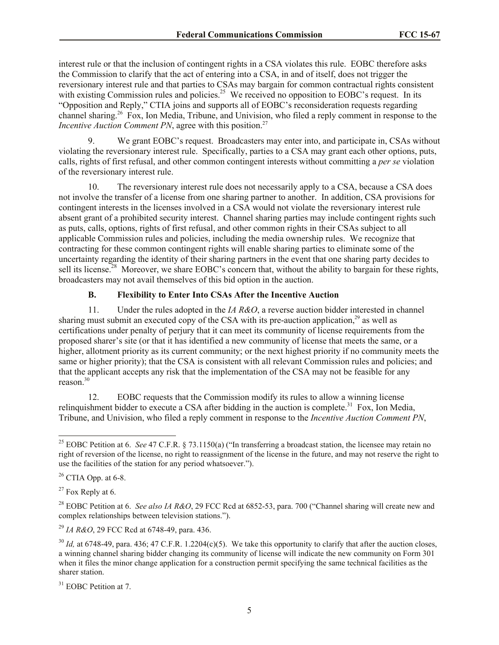interest rule or that the inclusion of contingent rights in a CSA violates this rule. EOBC therefore asks the Commission to clarify that the act of entering into a CSA, in and of itself, does not trigger the reversionary interest rule and that parties to CSAs may bargain for common contractual rights consistent with existing Commission rules and policies.<sup>25</sup> We received no opposition to EOBC's request. In its "Opposition and Reply," CTIA joins and supports all of EOBC's reconsideration requests regarding channel sharing.<sup>26</sup> Fox, Ion Media, Tribune, and Univision, who filed a reply comment in response to the *Incentive Auction Comment PN*, agree with this position.<sup>27</sup>

9. We grant EOBC's request. Broadcasters may enter into, and participate in, CSAs without violating the reversionary interest rule. Specifically, parties to a CSA may grant each other options, puts, calls, rights of first refusal, and other common contingent interests without committing a *per se* violation of the reversionary interest rule.

10. The reversionary interest rule does not necessarily apply to a CSA, because a CSA does not involve the transfer of a license from one sharing partner to another. In addition, CSA provisions for contingent interests in the licenses involved in a CSA would not violate the reversionary interest rule absent grant of a prohibited security interest. Channel sharing parties may include contingent rights such as puts, calls, options, rights of first refusal, and other common rights in their CSAs subject to all applicable Commission rules and policies, including the media ownership rules. We recognize that contracting for these common contingent rights will enable sharing parties to eliminate some of the uncertainty regarding the identity of their sharing partners in the event that one sharing party decides to sell its license.<sup>28</sup> Moreover, we share EOBC's concern that, without the ability to bargain for these rights, broadcasters may not avail themselves of this bid option in the auction.

# **B. Flexibility to Enter Into CSAs After the Incentive Auction**

11. Under the rules adopted in the *IA R&O*, a reverse auction bidder interested in channel sharing must submit an executed copy of the CSA with its pre-auction application, $29$  as well as certifications under penalty of perjury that it can meet its community of license requirements from the proposed sharer's site (or that it has identified a new community of license that meets the same, or a higher, allotment priority as its current community; or the next highest priority if no community meets the same or higher priority); that the CSA is consistent with all relevant Commission rules and policies; and that the applicant accepts any risk that the implementation of the CSA may not be feasible for any reason.<sup>30</sup>

12. EOBC requests that the Commission modify its rules to allow a winning license relinquishment bidder to execute a CSA after bidding in the auction is complete.<sup>31</sup> Fox, Ion Media, Tribune, and Univision, who filed a reply comment in response to the *Incentive Auction Comment PN*,

 $\overline{a}$ <sup>25</sup> EOBC Petition at 6. *See* 47 C.F.R. § 73.1150(a) ("In transferring a broadcast station, the licensee may retain no right of reversion of the license, no right to reassignment of the license in the future, and may not reserve the right to use the facilities of the station for any period whatsoever.").

<sup>&</sup>lt;sup>26</sup> CTIA Opp. at 6-8.

 $27$  Fox Reply at 6.

<sup>28</sup> EOBC Petition at 6. *See also IA R&O*, 29 FCC Rcd at 6852-53, para. 700 ("Channel sharing will create new and complex relationships between television stations.").

<sup>29</sup> *IA R&O*, 29 FCC Rcd at 6748-49, para. 436.

 $30$  *Id.* at 6748-49, para. 436; 47 C.F.R. 1.2204(c)(5). We take this opportunity to clarify that after the auction closes, a winning channel sharing bidder changing its community of license will indicate the new community on Form 301 when it files the minor change application for a construction permit specifying the same technical facilities as the sharer station.

<sup>&</sup>lt;sup>31</sup> EOBC Petition at 7.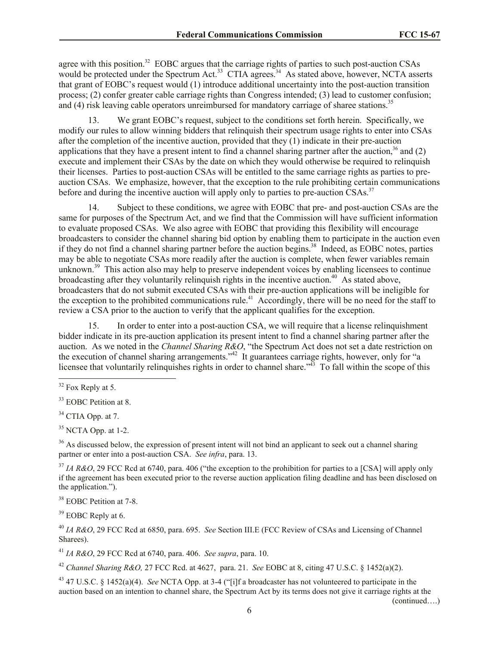agree with this position.<sup>32</sup> EOBC argues that the carriage rights of parties to such post-auction CSAs would be protected under the Spectrum Act.<sup>33</sup> CTIA agrees.<sup>34</sup> As stated above, however, NCTA asserts that grant of EOBC's request would (1) introduce additional uncertainty into the post-auction transition process; (2) confer greater cable carriage rights than Congress intended; (3) lead to customer confusion; and (4) risk leaving cable operators unreimbursed for mandatory carriage of sharee stations.<sup>35</sup>

13. We grant EOBC's request, subject to the conditions set forth herein. Specifically, we modify our rules to allow winning bidders that relinquish their spectrum usage rights to enter into CSAs after the completion of the incentive auction, provided that they (1) indicate in their pre-auction applications that they have a present intent to find a channel sharing partner after the auction,  $36$  and (2) execute and implement their CSAs by the date on which they would otherwise be required to relinquish their licenses. Parties to post-auction CSAs will be entitled to the same carriage rights as parties to preauction CSAs. We emphasize, however, that the exception to the rule prohibiting certain communications before and during the incentive auction will apply only to parties to pre-auction CSAs.<sup>37</sup>

14. Subject to these conditions, we agree with EOBC that pre- and post-auction CSAs are the same for purposes of the Spectrum Act, and we find that the Commission will have sufficient information to evaluate proposed CSAs. We also agree with EOBC that providing this flexibility will encourage broadcasters to consider the channel sharing bid option by enabling them to participate in the auction even if they do not find a channel sharing partner before the auction begins.<sup>38</sup> Indeed, as EOBC notes, parties may be able to negotiate CSAs more readily after the auction is complete, when fewer variables remain unknown.<sup>39</sup> This action also may help to preserve independent voices by enabling licensees to continue broadcasting after they voluntarily relinquish rights in the incentive auction.<sup>40</sup> As stated above, broadcasters that do not submit executed CSAs with their pre-auction applications will be ineligible for the exception to the prohibited communications rule.<sup>41</sup> Accordingly, there will be no need for the staff to review a CSA prior to the auction to verify that the applicant qualifies for the exception.

15. In order to enter into a post-auction CSA, we will require that a license relinquishment bidder indicate in its pre-auction application its present intent to find a channel sharing partner after the auction. As we noted in the *Channel Sharing R&O*, "the Spectrum Act does not set a date restriction on the execution of channel sharing arrangements."<sup>42</sup> It guarantees carriage rights, however, only for "a licensee that voluntarily relinquishes rights in order to channel share.<sup>343</sup> To fall within the scope of this

 $\overline{a}$ 

 $34$  CTIA Opp. at 7.

 $35$  NCTA Opp. at 1-2.

<sup>36</sup> As discussed below, the expression of present intent will not bind an applicant to seek out a channel sharing partner or enter into a post-auction CSA. *See infra*, para. 13.

<sup>37</sup> *IA R&O*, 29 FCC Rcd at 6740, para. 406 ("the exception to the prohibition for parties to a [CSA] will apply only if the agreement has been executed prior to the reverse auction application filing deadline and has been disclosed on the application.").

<sup>38</sup> EOBC Petition at 7-8.

<sup>39</sup> EOBC Reply at 6.

<sup>40</sup> *IA R&O*, 29 FCC Rcd at 6850, para. 695. *See* Section III.E (FCC Review of CSAs and Licensing of Channel Sharees).

<sup>41</sup> *IA R&O*, 29 FCC Rcd at 6740, para. 406. *See supra*, para. 10.

<sup>42</sup> *Channel Sharing R&O,* 27 FCC Rcd. at 4627, para. 21. *See* EOBC at 8, citing 47 U.S.C. § 1452(a)(2).

<sup>43</sup> 47 U.S.C. § 1452(a)(4). *See* NCTA Opp. at 3-4 ("[i]f a broadcaster has not volunteered to participate in the auction based on an intention to channel share, the Spectrum Act by its terms does not give it carriage rights at the

(continued….)

 $32$  Fox Reply at 5.

<sup>&</sup>lt;sup>33</sup> EOBC Petition at 8.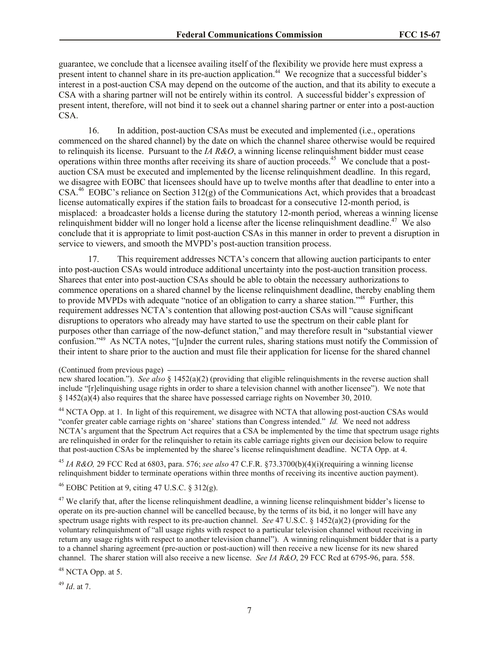guarantee, we conclude that a licensee availing itself of the flexibility we provide here must express a present intent to channel share in its pre-auction application.<sup>44</sup> We recognize that a successful bidder's interest in a post-auction CSA may depend on the outcome of the auction, and that its ability to execute a CSA with a sharing partner will not be entirely within its control. A successful bidder's expression of present intent, therefore, will not bind it to seek out a channel sharing partner or enter into a post-auction CSA.

16. In addition, post-auction CSAs must be executed and implemented (i.e., operations commenced on the shared channel) by the date on which the channel sharee otherwise would be required to relinquish its license. Pursuant to the *IA R&O*, a winning license relinquishment bidder must cease operations within three months after receiving its share of auction proceeds.<sup>45</sup> We conclude that a postauction CSA must be executed and implemented by the license relinquishment deadline. In this regard, we disagree with EOBC that licensees should have up to twelve months after that deadline to enter into a CSA.<sup>46</sup> EOBC's reliance on Section 312(g) of the Communications Act, which provides that a broadcast license automatically expires if the station fails to broadcast for a consecutive 12-month period, is misplaced: a broadcaster holds a license during the statutory 12-month period, whereas a winning license relinquishment bidder will no longer hold a license after the license relinquishment deadline.<sup>47</sup> We also conclude that it is appropriate to limit post-auction CSAs in this manner in order to prevent a disruption in service to viewers, and smooth the MVPD's post-auction transition process.

17. This requirement addresses NCTA's concern that allowing auction participants to enter into post-auction CSAs would introduce additional uncertainty into the post-auction transition process. Sharees that enter into post-auction CSAs should be able to obtain the necessary authorizations to commence operations on a shared channel by the license relinquishment deadline, thereby enabling them to provide MVPDs with adequate "notice of an obligation to carry a sharee station."<sup>48</sup> Further, this requirement addresses NCTA's contention that allowing post-auction CSAs will "cause significant disruptions to operators who already may have started to use the spectrum on their cable plant for purposes other than carriage of the now-defunct station," and may therefore result in "substantial viewer confusion."<sup>49</sup> As NCTA notes, "[u]nder the current rules, sharing stations must notify the Commission of their intent to share prior to the auction and must file their application for license for the shared channel

<sup>44</sup> NCTA Opp. at 1. In light of this requirement, we disagree with NCTA that allowing post-auction CSAs would "confer greater cable carriage rights on 'sharee' stations than Congress intended." *Id.* We need not address NCTA's argument that the Spectrum Act requires that a CSA be implemented by the time that spectrum usage rights are relinquished in order for the relinquisher to retain its cable carriage rights given our decision below to require that post-auction CSAs be implemented by the sharee's license relinquishment deadline. NCTA Opp. at 4.

<sup>45</sup> *IA R&O,* 29 FCC Rcd at 6803, para. 576; *see also* 47 C.F.R. §73.3700(b)(4)(i)(requiring a winning license relinquishment bidder to terminate operations within three months of receiving its incentive auction payment).

<sup>46</sup> EOBC Petition at 9, citing 47 U.S.C. § 312(g).

 $47$  We clarify that, after the license relinquishment deadline, a winning license relinquishment bidder's license to operate on its pre-auction channel will be cancelled because, by the terms of its bid, it no longer will have any spectrum usage rights with respect to its pre-auction channel. *See* 47 U.S.C. § 1452(a)(2) (providing for the voluntary relinquishment of "all usage rights with respect to a particular television channel without receiving in return any usage rights with respect to another television channel"). A winning relinquishment bidder that is a party to a channel sharing agreement (pre-auction or post-auction) will then receive a new license for its new shared channel. The sharer station will also receive a new license. *See IA R&O*, 29 FCC Rcd at 6795-96, para. 558.

 $48$  NCTA Opp. at 5.

<sup>49</sup> *Id*. at 7.

<sup>(</sup>Continued from previous page)

new shared location."). *See also* § 1452(a)(2) (providing that eligible relinquishments in the reverse auction shall include "[r]elinquishing usage rights in order to share a television channel with another licensee"). We note that § 1452(a)(4) also requires that the sharee have possessed carriage rights on November 30, 2010.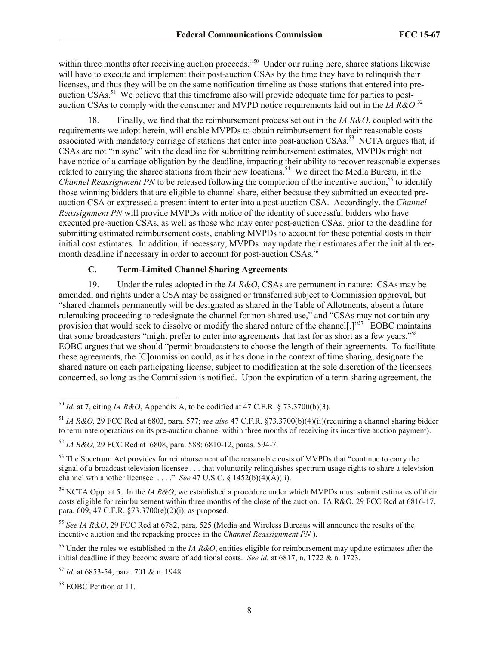within three months after receiving auction proceeds."<sup>50</sup> Under our ruling here, sharee stations likewise will have to execute and implement their post-auction CSAs by the time they have to relinquish their licenses, and thus they will be on the same notification timeline as those stations that entered into preauction CSAs.<sup>51</sup> We believe that this timeframe also will provide adequate time for parties to postauction CSAs to comply with the consumer and MVPD notice requirements laid out in the *IA R&O*. 52

18. Finally, we find that the reimbursement process set out in the *IA R&O*, coupled with the requirements we adopt herein, will enable MVPDs to obtain reimbursement for their reasonable costs associated with mandatory carriage of stations that enter into post-auction CSAs.<sup>53</sup> NCTA argues that, if CSAs are not "in sync" with the deadline for submitting reimbursement estimates, MVPDs might not have notice of a carriage obligation by the deadline, impacting their ability to recover reasonable expenses related to carrying the sharee stations from their new locations.<sup>54</sup> We direct the Media Bureau, in the *Channel Reassignment PN* to be released following the completion of the incentive auction,<sup>55</sup> to identify those winning bidders that are eligible to channel share, either because they submitted an executed preauction CSA or expressed a present intent to enter into a post-auction CSA. Accordingly, the *Channel Reassignment PN* will provide MVPDs with notice of the identity of successful bidders who have executed pre-auction CSAs, as well as those who may enter post-auction CSAs, prior to the deadline for submitting estimated reimbursement costs, enabling MVPDs to account for these potential costs in their initial cost estimates. In addition, if necessary, MVPDs may update their estimates after the initial threemonth deadline if necessary in order to account for post-auction CSAs.<sup>56</sup>

# **C. Term-Limited Channel Sharing Agreements**

19. Under the rules adopted in the *IA R&O*, CSAs are permanent in nature: CSAs may be amended, and rights under a CSA may be assigned or transferred subject to Commission approval, but "shared channels permanently will be designated as shared in the Table of Allotments, absent a future rulemaking proceeding to redesignate the channel for non-shared use," and "CSAs may not contain any provision that would seek to dissolve or modify the shared nature of the channel[.]"<sup>57</sup> EOBC maintains that some broadcasters "might prefer to enter into agreements that last for as short as a few years."<sup>58</sup> EOBC argues that we should "permit broadcasters to choose the length of their agreements. To facilitate these agreements, the [C]ommission could, as it has done in the context of time sharing, designate the shared nature on each participating license, subject to modification at the sole discretion of the licensees concerned, so long as the Commission is notified. Upon the expiration of a term sharing agreement, the

<sup>51</sup> *IA R&O,* 29 FCC Rcd at 6803, para. 577; *see also* 47 C.F.R. §73.3700(b)(4)(ii)(requiring a channel sharing bidder to terminate operations on its pre-auction channel within three months of receiving its incentive auction payment).

<sup>54</sup> NCTA Opp. at 5. In the *IA R&O*, we established a procedure under which MVPDs must submit estimates of their costs eligible for reimbursement within three months of the close of the auction. IA R&O, 29 FCC Rcd at 6816-17, para. 609; 47 C.F.R. §73.3700(e)(2)(i), as proposed.

<sup>55</sup> *See IA R&O*, 29 FCC Rcd at 6782, para. 525 (Media and Wireless Bureaus will announce the results of the incentive auction and the repacking process in the *Channel Reassignment PN* ).

<sup>56</sup> Under the rules we established in the *IA R&O*, entities eligible for reimbursement may update estimates after the initial deadline if they become aware of additional costs. *See id.* at 6817, n. 1722 & n. 1723.

<sup>57</sup> *Id.* at 6853-54, para. 701 & n. 1948.

<sup>58</sup> EOBC Petition at 11.

 $\overline{a}$ 

<sup>50</sup> *Id*. at 7, citing *IA R&O*, Appendix A, to be codified at 47 C.F.R. § 73.3700(b)(3).

<sup>52</sup> *IA R&O,* 29 FCC Rcd at 6808, para. 588; 6810-12, paras. 594-7.

<sup>&</sup>lt;sup>53</sup> The Spectrum Act provides for reimbursement of the reasonable costs of MVPDs that "continue to carry the signal of a broadcast television licensee  $\ldots$  that voluntarily relinquishes spectrum usage rights to share a television channel wth another licensee. . . . ." *See* 47 U.S.C. § 1452(b)(4)(A)(ii).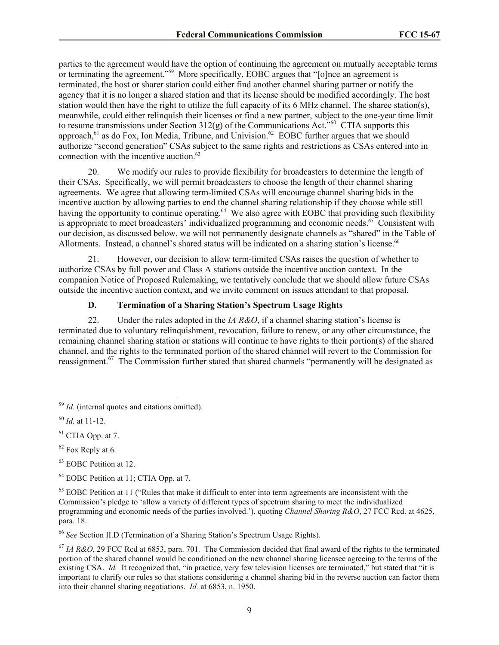parties to the agreement would have the option of continuing the agreement on mutually acceptable terms or terminating the agreement."<sup>59</sup> More specifically, EOBC argues that "[o]nce an agreement is terminated, the host or sharer station could either find another channel sharing partner or notify the agency that it is no longer a shared station and that its license should be modified accordingly. The host station would then have the right to utilize the full capacity of its 6 MHz channel. The sharee station(s), meanwhile, could either relinquish their licenses or find a new partner, subject to the one-year time limit to resume transmissions under Section  $312(g)$  of the Communications Act.<sup>560</sup> CTIA supports this approach,<sup>61</sup> as do Fox, Ion Media, Tribune, and Univision.<sup>62</sup> EOBC further argues that we should authorize "second generation" CSAs subject to the same rights and restrictions as CSAs entered into in connection with the incentive auction.<sup>63</sup>

20. We modify our rules to provide flexibility for broadcasters to determine the length of their CSAs. Specifically, we will permit broadcasters to choose the length of their channel sharing agreements. We agree that allowing term-limited CSAs will encourage channel sharing bids in the incentive auction by allowing parties to end the channel sharing relationship if they choose while still having the opportunity to continue operating.<sup>64</sup> We also agree with EOBC that providing such flexibility is appropriate to meet broadcasters' individualized programming and economic needs.<sup>65</sup> Consistent with our decision, as discussed below, we will not permanently designate channels as "shared" in the Table of Allotments. Instead, a channel's shared status will be indicated on a sharing station's license.<sup>66</sup>

21. However, our decision to allow term-limited CSAs raises the question of whether to authorize CSAs by full power and Class A stations outside the incentive auction context. In the companion Notice of Proposed Rulemaking, we tentatively conclude that we should allow future CSAs outside the incentive auction context, and we invite comment on issues attendant to that proposal.

### **D. Termination of a Sharing Station's Spectrum Usage Rights**

22. Under the rules adopted in the *IA R&O*, if a channel sharing station's license is terminated due to voluntary relinquishment, revocation, failure to renew, or any other circumstance, the remaining channel sharing station or stations will continue to have rights to their portion(s) of the shared channel, and the rights to the terminated portion of the shared channel will revert to the Commission for reassignment.<sup>67</sup> The Commission further stated that shared channels "permanently will be designated as

 $\overline{\phantom{a}}$ 

<sup>66</sup> *See* Section II.D (Termination of a Sharing Station's Spectrum Usage Rights).

<sup>59</sup> *Id.* (internal quotes and citations omitted).

<sup>60</sup> *Id.* at 11-12.

 $61$  CTIA Opp. at 7.

 $62$  Fox Reply at 6.

<sup>&</sup>lt;sup>63</sup> EOBC Petition at 12.

<sup>&</sup>lt;sup>64</sup> EOBC Petition at 11; CTIA Opp. at 7.

<sup>&</sup>lt;sup>65</sup> EOBC Petition at 11 ("Rules that make it difficult to enter into term agreements are inconsistent with the Commission's pledge to 'allow a variety of different types of spectrum sharing to meet the individualized programming and economic needs of the parties involved.'), quoting *Channel Sharing R&O*, 27 FCC Rcd. at 4625, para. 18.

<sup>67</sup> *IA R&O*, 29 FCC Rcd at 6853, para. 701*.* The Commission decided that final award of the rights to the terminated portion of the shared channel would be conditioned on the new channel sharing licensee agreeing to the terms of the existing CSA. *Id.* It recognized that, "in practice, very few television licenses are terminated," but stated that "it is important to clarify our rules so that stations considering a channel sharing bid in the reverse auction can factor them into their channel sharing negotiations. *Id.* at 6853, n. 1950.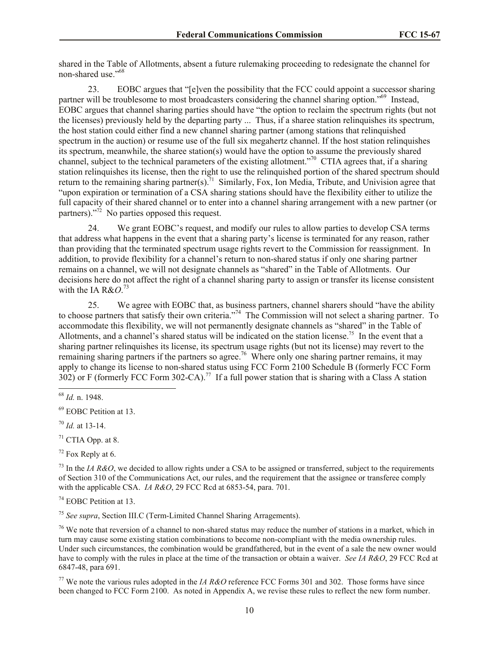shared in the Table of Allotments, absent a future rulemaking proceeding to redesignate the channel for non-shared use."<sup>68</sup>

23. EOBC argues that "[e]ven the possibility that the FCC could appoint a successor sharing partner will be troublesome to most broadcasters considering the channel sharing option."<sup>69</sup> Instead, EOBC argues that channel sharing parties should have "the option to reclaim the spectrum rights (but not the licenses) previously held by the departing party ... Thus, if a sharee station relinquishes its spectrum, the host station could either find a new channel sharing partner (among stations that relinquished spectrum in the auction) or resume use of the full six megahertz channel. If the host station relinquishes its spectrum, meanwhile, the sharee station(s) would have the option to assume the previously shared channel, subject to the technical parameters of the existing allotment."<sup>70</sup> CTIA agrees that, if a sharing station relinquishes its license, then the right to use the relinquished portion of the shared spectrum should return to the remaining sharing partner(s).<sup>71</sup> Similarly, Fox, Ion Media, Tribute, and Univision agree that "upon expiration or termination of a CSA sharing stations should have the flexibility either to utilize the full capacity of their shared channel or to enter into a channel sharing arrangement with a new partner (or partners)."<sup>72</sup> No parties opposed this request.

24. We grant EOBC's request, and modify our rules to allow parties to develop CSA terms that address what happens in the event that a sharing party's license is terminated for any reason, rather than providing that the terminated spectrum usage rights revert to the Commission for reassignment. In addition, to provide flexibility for a channel's return to non-shared status if only one sharing partner remains on a channel, we will not designate channels as "shared" in the Table of Allotments. Our decisions here do not affect the right of a channel sharing party to assign or transfer its license consistent with the IA R&O.<sup>73</sup>

25. We agree with EOBC that, as business partners, channel sharers should "have the ability to choose partners that satisfy their own criteria."<sup>74</sup> The Commission will not select a sharing partner. To accommodate this flexibility, we will not permanently designate channels as "shared" in the Table of Allotments, and a channel's shared status will be indicated on the station license.<sup>75</sup> In the event that a sharing partner relinquishes its license, its spectrum usage rights (but not its license) may revert to the remaining sharing partners if the partners so agree.<sup>76</sup> Where only one sharing partner remains, it may apply to change its license to non-shared status using FCC Form 2100 Schedule B (formerly FCC Form 302) or F (formerly FCC Form 302-CA).<sup>77</sup> If a full power station that is sharing with a Class A station

 $\overline{\phantom{a}}$ 

<sup>70</sup> *Id.* at 13-14.

 $71$  CTIA Opp. at 8.

 $72$  Fox Reply at 6.

 $^{73}$  In the *IA R&O*, we decided to allow rights under a CSA to be assigned or transferred, subject to the requirements of Section 310 of the Communications Act, our rules, and the requirement that the assignee or transferee comply with the applicable CSA. *IA R&O*, 29 FCC Rcd at 6853-54, para. 701.

<sup>74</sup> EOBC Petition at 13.

<sup>75</sup> *See supra*, Section III.C (Term-Limited Channel Sharing Arragements).

 $^{76}$  We note that reversion of a channel to non-shared status may reduce the number of stations in a market, which in turn may cause some existing station combinations to become non-compliant with the media ownership rules. Under such circumstances, the combination would be grandfathered, but in the event of a sale the new owner would have to comply with the rules in place at the time of the transaction or obtain a waiver. *See IA R&O*, 29 FCC Rcd at 6847-48, para 691.

<sup>77</sup> We note the various rules adopted in the *IA R&O* reference FCC Forms 301 and 302. Those forms have since been changed to FCC Form 2100. As noted in Appendix A, we revise these rules to reflect the new form number.

<sup>68</sup> *Id.* n. 1948.

<sup>69</sup> EOBC Petition at 13.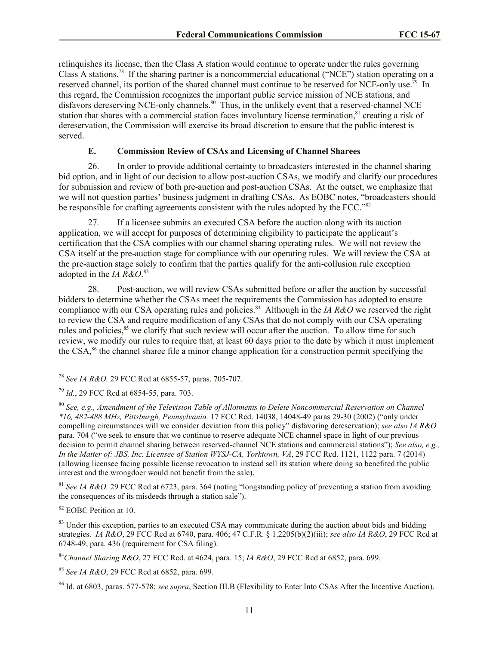relinquishes its license, then the Class A station would continue to operate under the rules governing Class A stations.<sup>78</sup> If the sharing partner is a noncommercial educational ("NCE") station operating on a reserved channel, its portion of the shared channel must continue to be reserved for NCE-only use.<sup>79</sup> In this regard, the Commission recognizes the important public service mission of NCE stations, and disfavors dereserving NCE-only channels.<sup>80</sup> Thus, in the unlikely event that a reserved-channel NCE station that shares with a commercial station faces involuntary license termination,<sup>81</sup> creating a risk of dereservation, the Commission will exercise its broad discretion to ensure that the public interest is served.

### **E. Commission Review of CSAs and Licensing of Channel Sharees**

26. In order to provide additional certainty to broadcasters interested in the channel sharing bid option, and in light of our decision to allow post-auction CSAs, we modify and clarify our procedures for submission and review of both pre-auction and post-auction CSAs. At the outset, we emphasize that we will not question parties' business judgment in drafting CSAs. As EOBC notes, "broadcasters should be responsible for crafting agreements consistent with the rules adopted by the FCC."82

27. If a licensee submits an executed CSA before the auction along with its auction application, we will accept for purposes of determining eligibility to participate the applicant's certification that the CSA complies with our channel sharing operating rules. We will not review the CSA itself at the pre-auction stage for compliance with our operating rules. We will review the CSA at the pre-auction stage solely to confirm that the parties qualify for the anti-collusion rule exception adopted in the *IA R&O*. 83

28. Post-auction, we will review CSAs submitted before or after the auction by successful bidders to determine whether the CSAs meet the requirements the Commission has adopted to ensure compliance with our CSA operating rules and policies.<sup>84</sup> Although in the *IA R&O* we reserved the right to review the CSA and require modification of any CSAs that do not comply with our CSA operating rules and policies,<sup>85</sup> we clarify that such review will occur after the auction. To allow time for such review, we modify our rules to require that, at least 60 days prior to the date by which it must implement the CSA, <sup>86</sup> the channel sharee file a minor change application for a construction permit specifying the

<sup>81</sup> *See IA R&O,* 29 FCC Rcd at 6723, para. 364 (noting "longstanding policy of preventing a station from avoiding the consequences of its misdeeds through a station sale").

<sup>82</sup> EOBC Petition at 10.

<sup>83</sup> Under this exception, parties to an executed CSA may communicate during the auction about bids and bidding strategies. *IA R&O*, 29 FCC Rcd at 6740, para. 406; 47 C.F.R. § 1.2205(b)(2)(iii); *see also IA R&O*, 29 FCC Rcd at 6748-49, para. 436 (requirement for CSA filing).

 $\overline{a}$ <sup>78</sup> *See IA R&O,* 29 FCC Rcd at 6855-57, paras. 705-707.

<sup>79</sup> *Id.*, 29 FCC Rcd at 6854-55, para. 703.

<sup>80</sup> *See, e.g., Amendment of the Television Table of Allotments to Delete Noncommercial Reservation on Channel \*16, 482-488 MHz, Pittsburgh, Pennsylvania,* 17 FCC Rcd. 14038, 14048-49 paras 29-30 (2002) ("only under compelling circumstances will we consider deviation from this policy" disfavoring dereservation); *see also IA R&O* para. 704 ("we seek to ensure that we continue to reserve adequate NCE channel space in light of our previous decision to permit channel sharing between reserved-channel NCE stations and commercial stations"); *See also, e.g., In the Matter of: JBS, Inc. Licensee of Station WYSJ-CA, Yorktown, VA*, 29 FCC Rcd. 1121, 1122 para. 7 (2014) (allowing licensee facing possible license revocation to instead sell its station where doing so benefited the public interest and the wrongdoer would not benefit from the sale).

<sup>84</sup>*Channel Sharing R&O*, 27 FCC Rcd. at 4624, para. 15; *IA R&O*, 29 FCC Rcd at 6852, para. 699.

<sup>85</sup> *See IA R&O*, 29 FCC Rcd at 6852, para. 699.

<sup>86</sup> Id. at 6803, paras. 577-578; *see supra*, Section III.B (Flexibility to Enter Into CSAs After the Incentive Auction).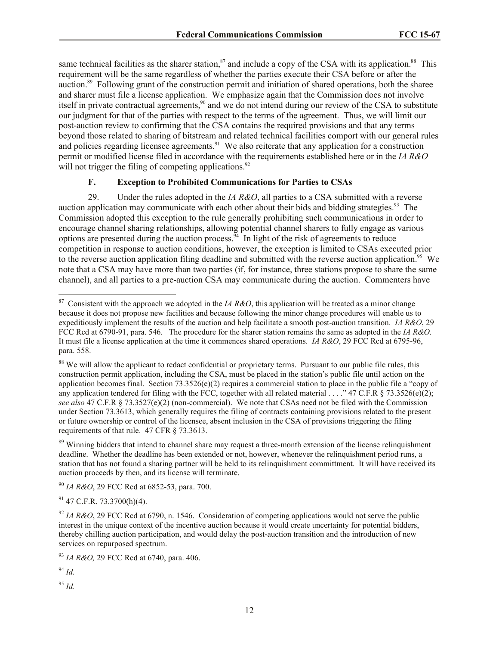same technical facilities as the sharer station,<sup>87</sup> and include a copy of the CSA with its application.<sup>88</sup> This requirement will be the same regardless of whether the parties execute their CSA before or after the auction.<sup>89</sup> Following grant of the construction permit and initiation of shared operations, both the sharee and sharer must file a license application. We emphasize again that the Commission does not involve itself in private contractual agreements,<sup>90</sup> and we do not intend during our review of the CSA to substitute our judgment for that of the parties with respect to the terms of the agreement. Thus, we will limit our post-auction review to confirming that the CSA contains the required provisions and that any terms beyond those related to sharing of bitstream and related technical facilities comport with our general rules and policies regarding licensee agreements.<sup>91</sup> We also reiterate that any application for a construction permit or modified license filed in accordance with the requirements established here or in the *IA R&O* will not trigger the filing of competing applications.<sup>92</sup>

### **F. Exception to Prohibited Communications for Parties to CSAs**

29. Under the rules adopted in the *IA R&O*, all parties to a CSA submitted with a reverse auction application may communicate with each other about their bids and bidding strategies.<sup>93</sup> The Commission adopted this exception to the rule generally prohibiting such communications in order to encourage channel sharing relationships, allowing potential channel sharers to fully engage as various options are presented during the auction process.<sup>94</sup> In light of the risk of agreements to reduce competition in response to auction conditions, however, the exception is limited to CSAs executed prior to the reverse auction application filing deadline and submitted with the reverse auction application.<sup>95</sup> We note that a CSA may have more than two parties (if, for instance, three stations propose to share the same channel), and all parties to a pre-auction CSA may communicate during the auction. Commenters have

<sup>89</sup> Winning bidders that intend to channel share may request a three-month extension of the license relinquishment deadline. Whether the deadline has been extended or not, however, whenever the relinquishment period runs, a station that has not found a sharing partner will be held to its relinquishment committment. It will have received its auction proceeds by then, and its license will terminate.

<sup>90</sup> *IA R&O*, 29 FCC Rcd at 6852-53, para. 700.

 $91$  47 C.F.R. 73.3700(h)(4).

<sup>93</sup> *IA R&O,* 29 FCC Rcd at 6740, para. 406.

<sup>94</sup> *Id.*

 $\overline{\phantom{a}}$ 

<sup>95</sup> *Id.*

<sup>87</sup> Consistent with the approach we adopted in the *IA R&O*, this application will be treated as a minor change because it does not propose new facilities and because following the minor change procedures will enable us to expeditiously implement the results of the auction and help facilitate a smooth post-auction transition. *IA R&O*, 29 FCC Rcd at 6790-91, para. 546. The procedure for the sharer station remains the same as adopted in the *IA R&O.* It must file a license application at the time it commences shared operations. *IA R&O*, 29 FCC Rcd at 6795-96, para. 558.

<sup>&</sup>lt;sup>88</sup> We will allow the applicant to redact confidential or proprietary terms. Pursuant to our public file rules, this construction permit application, including the CSA, must be placed in the station's public file until action on the application becomes final. Section  $73.3526(e)(2)$  requires a commercial station to place in the public file a "copy of any application tendered for filing with the FCC, together with all related material . . . . "47 C.F.R  $\S$  73.3526(e)(2); *see also* 47 C.F.R § 73.3527(e)(2) (non-commercial). We note that CSAs need not be filed with the Commission under Section 73.3613, which generally requires the filing of contracts containing provisions related to the present or future ownership or control of the licensee, absent inclusion in the CSA of provisions triggering the filing requirements of that rule. 47 CFR § 73.3613.

<sup>92</sup> *IA R&O*, 29 FCC Rcd at 6790, n. 1546. Consideration of competing applications would not serve the public interest in the unique context of the incentive auction because it would create uncertainty for potential bidders, thereby chilling auction participation, and would delay the post-auction transition and the introduction of new services on repurposed spectrum.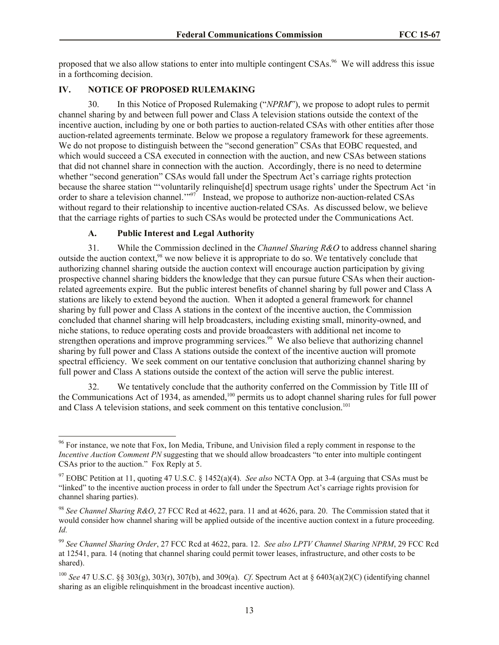proposed that we also allow stations to enter into multiple contingent CSAs.<sup>96</sup> We will address this issue in a forthcoming decision.

# **IV. NOTICE OF PROPOSED RULEMAKING**

30. In this Notice of Proposed Rulemaking ("*NPRM*"), we propose to adopt rules to permit channel sharing by and between full power and Class A television stations outside the context of the incentive auction, including by one or both parties to auction-related CSAs with other entities after those auction-related agreements terminate. Below we propose a regulatory framework for these agreements. We do not propose to distinguish between the "second generation" CSAs that EOBC requested, and which would succeed a CSA executed in connection with the auction, and new CSAs between stations that did not channel share in connection with the auction. Accordingly, there is no need to determine whether "second generation" CSAs would fall under the Spectrum Act's carriage rights protection because the sharee station "'voluntarily relinquishe[d] spectrum usage rights' under the Spectrum Act 'in order to share a television channel."<sup>97</sup> Instead, we propose to authorize non-auction-related CSAs without regard to their relationship to incentive auction-related CSAs. As discussed below, we believe that the carriage rights of parties to such CSAs would be protected under the Communications Act.

### **A. Public Interest and Legal Authority**

31. While the Commission declined in the *Channel Sharing R&O* to address channel sharing outside the auction context,<sup>98</sup> we now believe it is appropriate to do so. We tentatively conclude that authorizing channel sharing outside the auction context will encourage auction participation by giving prospective channel sharing bidders the knowledge that they can pursue future CSAs when their auctionrelated agreements expire. But the public interest benefits of channel sharing by full power and Class A stations are likely to extend beyond the auction. When it adopted a general framework for channel sharing by full power and Class A stations in the context of the incentive auction, the Commission concluded that channel sharing will help broadcasters, including existing small, minority-owned, and niche stations, to reduce operating costs and provide broadcasters with additional net income to strengthen operations and improve programming services.<sup>99</sup> We also believe that authorizing channel sharing by full power and Class A stations outside the context of the incentive auction will promote spectral efficiency. We seek comment on our tentative conclusion that authorizing channel sharing by full power and Class A stations outside the context of the action will serve the public interest.

32. We tentatively conclude that the authority conferred on the Commission by Title III of the Communications Act of 1934, as amended,<sup>100</sup> permits us to adopt channel sharing rules for full power and Class A television stations, and seek comment on this tentative conclusion.<sup>101</sup>

 $\overline{a}$ <sup>96</sup> For instance, we note that Fox, Ion Media, Tribune, and Univision filed a reply comment in response to the *Incentive Auction Comment PN* suggesting that we should allow broadcasters "to enter into multiple contingent CSAs prior to the auction." Fox Reply at 5.

<sup>97</sup> EOBC Petition at 11, quoting 47 U.S.C. § 1452(a)(4). *See also* NCTA Opp. at 3-4 (arguing that CSAs must be "linked" to the incentive auction process in order to fall under the Spectrum Act's carriage rights provision for channel sharing parties).

<sup>98</sup> *See Channel Sharing R&O*, 27 FCC Rcd at 4622, para. 11 and at 4626, para. 20. The Commission stated that it would consider how channel sharing will be applied outside of the incentive auction context in a future proceeding. *Id.*

<sup>99</sup> *See Channel Sharing Order*, 27 FCC Rcd at 4622, para. 12. *See also LPTV Channel Sharing NPRM*, 29 FCC Rcd at 12541, para. 14 (noting that channel sharing could permit tower leases, infrastructure, and other costs to be shared).

<sup>100</sup> *See* 47 U.S.C. §§ 303(g), 303(r), 307(b), and 309(a). *Cf*. Spectrum Act at § 6403(a)(2)(C) (identifying channel sharing as an eligible relinquishment in the broadcast incentive auction).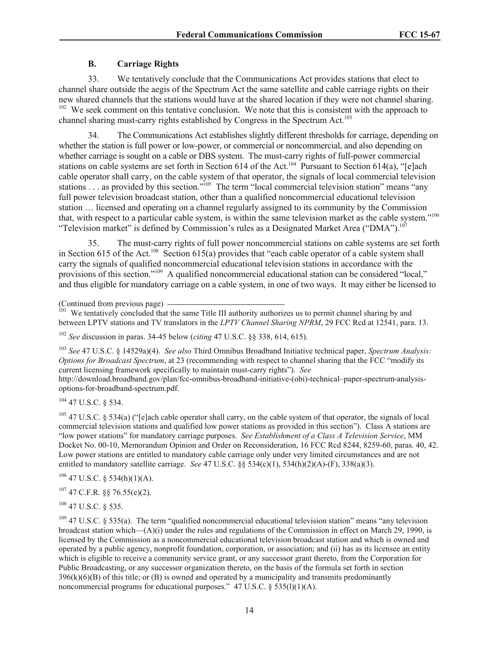### **B. Carriage Rights**

33. We tentatively conclude that the Communications Act provides stations that elect to channel share outside the aegis of the Spectrum Act the same satellite and cable carriage rights on their new shared channels that the stations would have at the shared location if they were not channel sharing.  $102$  We seek comment on this tentative conclusion. We note that this is consistent with the approach to channel sharing must-carry rights established by Congress in the Spectrum Act.<sup>103</sup>

34. The Communications Act establishes slightly different thresholds for carriage, depending on whether the station is full power or low-power, or commercial or noncommercial, and also depending on whether carriage is sought on a cable or DBS system. The must-carry rights of full-power commercial stations on cable systems are set forth in Section 614 of the Act.<sup>104</sup> Pursuant to Section 614(a), "[e]ach cable operator shall carry, on the cable system of that operator, the signals of local commercial television stations . . . as provided by this section."<sup>105</sup> The term "local commercial television station" means "any full power television broadcast station, other than a qualified noncommercial educational television station … licensed and operating on a channel regularly assigned to its community by the Commission that, with respect to a particular cable system, is within the same television market as the cable system."<sup>106</sup> "Television market" is defined by Commission's rules as a Designated Market Area ("DMA").<sup>107</sup>

35. The must-carry rights of full power noncommercial stations on cable systems are set forth in Section 615 of the Act.<sup>108</sup> Section 615(a) provides that "each cable operator of a cable system shall carry the signals of qualified noncommercial educational television stations in accordance with the provisions of this section."<sup>109</sup> A qualified noncommercial educational station can be considered "local," and thus eligible for mandatory carriage on a cable system, in one of two ways. It may either be licensed to

(Continued from previous page)

<sup>101</sup> We tentatively concluded that the same Title III authority authorizes us to permit channel sharing by and between LPTV stations and TV translators in the *LPTV Channel Sharing NPRM*, 29 FCC Rcd at 12541, para. 13.

<sup>102</sup> *See* discussion in paras. 34-45 below (*citing* 47 U.S.C. §§ 338, 614, 615).

<sup>103</sup> *See* 47 U.S.C. § 14529a)(4). *See also* Third Omnibus Broadband Initiative technical paper, *Spectrum Analysis: Options for Broadcast Spectrum*, at 23 (recommending with respect to channel sharing that the FCC "modify its current licensing framework specifically to maintain must-carry rights"). *See*

http://download.broadband.gov/plan/fcc-omnibus-broadband-initiative-(obi)-technical–paper-spectrum-analysisoptions-for-broadband-spectrum.pdf.

 $104$  47 U.S.C. § 534.

<sup>105</sup> 47 U.S.C. § 534(a) ("[e]ach cable operator shall carry, on the cable system of that operator, the signals of local commercial television stations and qualified low power stations as provided in this section"). Class A stations are "low power stations" for mandatory carriage purposes. *See Establishment of a Class A Television Service*, MM Docket No. 00-10, Memorandum Opinion and Order on Reconsideration, 16 FCC Rcd 8244, 8259-60, paras. 40, 42. Low power stations are entitled to mandatory cable carriage only under very limited circumstances and are not entitled to mandatory satellite carriage. *See* 47 U.S.C. §§ 534(c)(1), 534(h)(2)(A)-(F), 338(a)(3).

 $106$  47 U.S.C. § 534(h)(1)(A).

 $107$  47 C.F.R. §§ 76.55(e)(2).

 $108$  47 U.S.C. § 535.

 $109$  47 U.S.C. § 535(a). The term "qualified noncommercial educational television station" means "any television broadcast station which—(A)(i) under the rules and regulations of the Commission in effect on March 29, 1990, is licensed by the Commission as a noncommercial educational television broadcast station and which is owned and operated by a public agency, nonprofit foundation, corporation, or association; and (ii) has as its licensee an entity which is eligible to receive a community service grant, or any successor grant thereto, from the Corporation for Public Broadcasting, or any successor organization thereto, on the basis of the formula set forth in section  $396(k)(6)(B)$  of this title; or (B) is owned and operated by a municipality and transmits predominantly noncommercial programs for educational purposes."  $47 \text{ U.S.C.}$  §  $535(l)(1)(A)$ .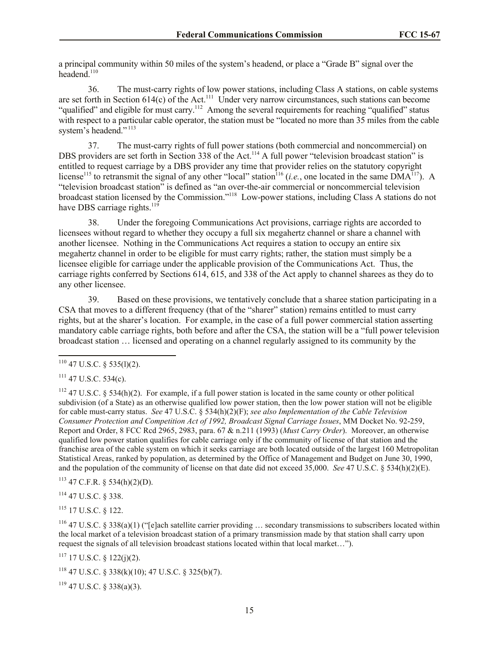a principal community within 50 miles of the system's headend, or place a "Grade B" signal over the headend.<sup>110</sup>

36. The must-carry rights of low power stations, including Class A stations, on cable systems are set forth in Section  $614(c)$  of the Act.<sup>111</sup> Under very narrow circumstances, such stations can become "qualified" and eligible for must carry.<sup>112</sup> Among the several requirements for reaching "qualified" status with respect to a particular cable operator, the station must be "located no more than 35 miles from the cable system's headend."<sup>113</sup>

37. The must-carry rights of full power stations (both commercial and noncommercial) on DBS providers are set forth in Section 338 of the Act.<sup>114</sup> A full power "television broadcast station" is entitled to request carriage by a DBS provider any time that provider relies on the statutory copyright license<sup>115</sup> to retransmit the signal of any other "local" station<sup>116</sup> (*i.e.*, one located in the same  $\vec{DMA}^{117}$ ). A "television broadcast station" is defined as "an over-the-air commercial or noncommercial television broadcast station licensed by the Commission."<sup>118</sup> Low-power stations, including Class A stations do not have DBS carriage rights.<sup>119</sup>

38. Under the foregoing Communications Act provisions, carriage rights are accorded to licensees without regard to whether they occupy a full six megahertz channel or share a channel with another licensee. Nothing in the Communications Act requires a station to occupy an entire six megahertz channel in order to be eligible for must carry rights; rather, the station must simply be a licensee eligible for carriage under the applicable provision of the Communications Act. Thus, the carriage rights conferred by Sections 614, 615, and 338 of the Act apply to channel sharees as they do to any other licensee.

39. Based on these provisions, we tentatively conclude that a sharee station participating in a CSA that moves to a different frequency (that of the "sharer" station) remains entitled to must carry rights, but at the sharer's location. For example, in the case of a full power commercial station asserting mandatory cable carriage rights, both before and after the CSA, the station will be a "full power television broadcast station … licensed and operating on a channel regularly assigned to its community by the

 $111$  47 U.S.C. 534(c).

 $112$  47 U.S.C. § 534(h)(2). For example, if a full power station is located in the same county or other political subdivision (of a State) as an otherwise qualified low power station, then the low power station will not be eligible for cable must-carry status. *See* 47 U.S.C. § 534(h)(2)(F); *see also Implementation of the Cable Television Consumer Protection and Competition Act of 1992, Broadcast Signal Carriage Issues*, MM Docket No. 92-259, Report and Order, 8 FCC Rcd 2965, 2983, para. 67 & n.211 (1993) (*Must Carry Order*). Moreover, an otherwise qualified low power station qualifies for cable carriage only if the community of license of that station and the franchise area of the cable system on which it seeks carriage are both located outside of the largest 160 Metropolitan Statistical Areas, ranked by population, as determined by the Office of Management and Budget on June 30, 1990, and the population of the community of license on that date did not exceed 35,000. *See* 47 U.S.C. § 534(h)(2)(E).

 $113$  47 C.F.R. § 534(h)(2)(D).

<sup>114</sup> 47 U.S.C. § 338.

 $115$  17 U.S.C. 8 122.

<sup>116</sup> 47 U.S.C. § 338(a)(1) ("[e]ach satellite carrier providing  $\ldots$  secondary transmissions to subscribers located within the local market of a television broadcast station of a primary transmission made by that station shall carry upon request the signals of all television broadcast stations located within that local market…").

 $117$  17 U.S.C. § 122(j)(2).

 $118$  47 U.S.C. § 338(k)(10); 47 U.S.C. § 325(b)(7).

 $119$  47 U.S.C. § 338(a)(3).

 $\overline{a}$  $110$  47 U.S.C. § 535(1)(2).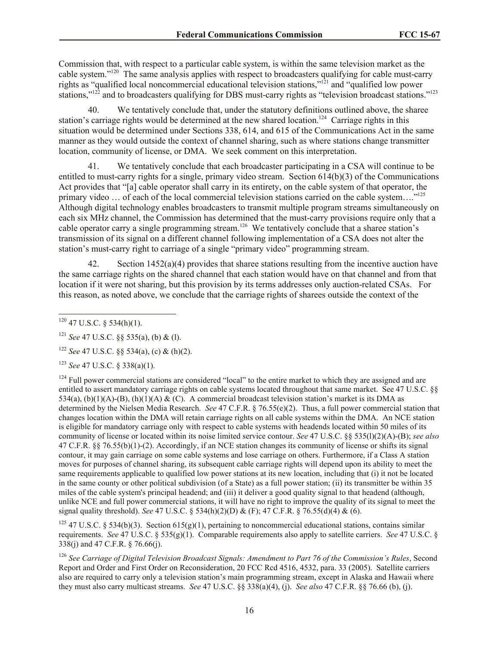Commission that, with respect to a particular cable system, is within the same television market as the cable system."<sup>120</sup> The same analysis applies with respect to broadcasters qualifying for cable must-carry rights as "qualified local noncommercial educational television stations,"<sup>121</sup> and "qualified low power stations,"<sup>122</sup> and to broadcasters qualifying for DBS must-carry rights as "television broadcast stations."<sup>123</sup>

40. We tentatively conclude that, under the statutory definitions outlined above, the sharee station's carriage rights would be determined at the new shared location.<sup>124</sup> Carriage rights in this situation would be determined under Sections 338, 614, and 615 of the Communications Act in the same manner as they would outside the context of channel sharing, such as where stations change transmitter location, community of license, or DMA. We seek comment on this interpretation.

41. We tentatively conclude that each broadcaster participating in a CSA will continue to be entitled to must-carry rights for a single, primary video stream. Section 614(b)(3) of the Communications Act provides that "[a] cable operator shall carry in its entirety, on the cable system of that operator, the primary video ... of each of the local commercial television stations carried on the cable system...."<sup>125</sup> Although digital technology enables broadcasters to transmit multiple program streams simultaneously on each six MHz channel, the Commission has determined that the must-carry provisions require only that a cable operator carry a single programming stream.<sup>126</sup> We tentatively conclude that a sharee station's transmission of its signal on a different channel following implementation of a CSA does not alter the station's must-carry right to carriage of a single "primary video" programming stream.

42. Section 1452(a)(4) provides that sharee stations resulting from the incentive auction have the same carriage rights on the shared channel that each station would have on that channel and from that location if it were not sharing, but this provision by its terms addresses only auction-related CSAs. For this reason, as noted above, we conclude that the carriage rights of sharees outside the context of the

 $\overline{a}$ 

<sup>123</sup> *See* 47 U.S.C. § 338(a)(1).

 $124$  Full power commercial stations are considered "local" to the entire market to which they are assigned and are entitled to assert mandatory carriage rights on cable systems located throughout that same market. See 47 U.S.C. §§ 534(a), (b)(1)(A)-(B), (h)(1)(A) & (C). A commercial broadcast television station's market is its DMA as determined by the Nielsen Media Research. *See* 47 C.F.R. § 76.55(e)(2). Thus, a full power commercial station that changes location within the DMA will retain carriage rights on all cable systems within the DMA. An NCE station is eligible for mandatory carriage only with respect to cable systems with headends located within 50 miles of its community of license or located within its noise limited service contour. *See* 47 U.S.C. §§ 535(l)(2)(A)-(B); *see also* 47 C.F.R. §§ 76.55(b)(1)-(2). Accordingly, if an NCE station changes its community of license or shifts its signal contour, it may gain carriage on some cable systems and lose carriage on others. Furthermore, if a Class A station moves for purposes of channel sharing, its subsequent cable carriage rights will depend upon its ability to meet the same requirements applicable to qualified low power stations at its new location, including that (i) it not be located in the same county or other political subdivision (of a State) as a full power station; (ii) its transmitter be within 35 miles of the cable system's principal headend; and (iii) it deliver a good quality signal to that headend (although, unlike NCE and full power commercial stations, it will have no right to improve the quality of its signal to meet the signal quality threshold). *See* 47 U.S.C. § 534(h)(2)(D) & (F); 47 C.F.R. § 76.55(d)(4) & (6).

<sup>125</sup> 47 U.S.C. § 534(b)(3). Section 615(g)(1), pertaining to noncommercial educational stations, contains similar requirements. *See* 47 U.S.C. § 535(g)(1). Comparable requirements also apply to satellite carriers. *See* 47 U.S.C. § 338(j) and 47 C.F.R. § 76.66(j).

<sup>126</sup> *See Carriage of Digital Television Broadcast Signals: Amendment to Part 76 of the Commission's Rules*, Second Report and Order and First Order on Reconsideration, 20 FCC Rcd 4516, 4532, para. 33 (2005). Satellite carriers also are required to carry only a television station's main programming stream, except in Alaska and Hawaii where they must also carry multicast streams. *See* 47 U.S.C. §§ 338(a)(4), (j). *See also* 47 C.F.R. §§ 76.66 (b), (j).

 $120$  47 U.S.C. § 534(h)(1).

<sup>121</sup> *See* 47 U.S.C. §§ 535(a), (b) & (l).

<sup>122</sup> *See* 47 U.S.C. §§ 534(a), (c) & (h)(2).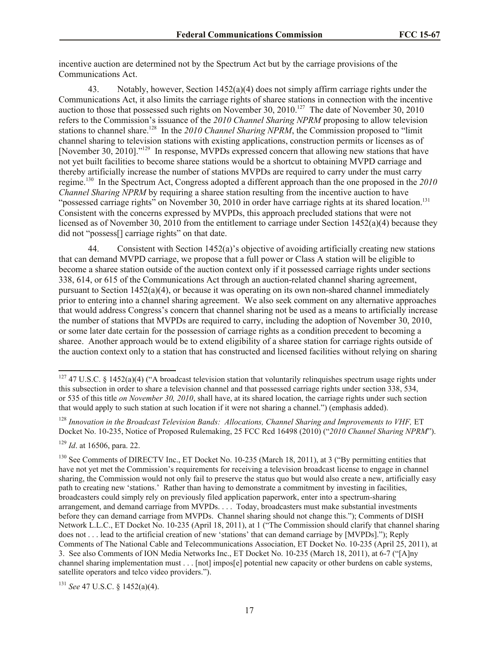incentive auction are determined not by the Spectrum Act but by the carriage provisions of the Communications Act.

43. Notably, however, Section 1452(a)(4) does not simply affirm carriage rights under the Communications Act, it also limits the carriage rights of sharee stations in connection with the incentive auction to those that possessed such rights on November 30,  $2010$ .<sup>127</sup> The date of November 30, 2010 refers to the Commission's issuance of the *2010 Channel Sharing NPRM* proposing to allow television stations to channel share.<sup>128</sup> In the 2010 Channel Sharing NPRM, the Commission proposed to "limit channel sharing to television stations with existing applications, construction permits or licenses as of [November 30, 2010]."<sup>129</sup> In response, MVPDs expressed concern that allowing new stations that have not yet built facilities to become sharee stations would be a shortcut to obtaining MVPD carriage and thereby artificially increase the number of stations MVPDs are required to carry under the must carry regime.<sup>130</sup> In the Spectrum Act, Congress adopted a different approach than the one proposed in the *2010 Channel Sharing NPRM* by requiring a sharee station resulting from the incentive auction to have "possessed carriage rights" on November 30, 2010 in order have carriage rights at its shared location.<sup>131</sup> Consistent with the concerns expressed by MVPDs, this approach precluded stations that were not licensed as of November 30, 2010 from the entitlement to carriage under Section 1452(a)(4) because they did not "possess[] carriage rights" on that date.

44. Consistent with Section 1452(a)'s objective of avoiding artificially creating new stations that can demand MVPD carriage, we propose that a full power or Class A station will be eligible to become a sharee station outside of the auction context only if it possessed carriage rights under sections 338, 614, or 615 of the Communications Act through an auction-related channel sharing agreement, pursuant to Section 1452(a)(4), or because it was operating on its own non-shared channel immediately prior to entering into a channel sharing agreement. We also seek comment on any alternative approaches that would address Congress's concern that channel sharing not be used as a means to artificially increase the number of stations that MVPDs are required to carry, including the adoption of November 30, 2010, or some later date certain for the possession of carriage rights as a condition precedent to becoming a sharee. Another approach would be to extend eligibility of a sharee station for carriage rights outside of the auction context only to a station that has constructed and licensed facilities without relying on sharing

<sup>128</sup> *Innovation in the Broadcast Television Bands: Allocations, Channel Sharing and Improvements to VHF,* ET Docket No. 10-235, Notice of Proposed Rulemaking, 25 FCC Rcd 16498 (2010) ("*2010 Channel Sharing NPRM*").

 $\overline{\phantom{a}}$ 

<sup>131</sup> *See* 47 U.S.C. § 1452(a)(4).

<sup>&</sup>lt;sup>127</sup> 47 U.S.C. § 1452(a)(4) ("A broadcast television station that voluntarily relinquishes spectrum usage rights under this subsection in order to share a television channel and that possessed carriage rights under section 338, 534, or 535 of this title *on November 30, 2010*, shall have, at its shared location, the carriage rights under such section that would apply to such station at such location if it were not sharing a channel.") (emphasis added).

<sup>129</sup> *Id*. at 16506, para. 22.

<sup>&</sup>lt;sup>130</sup> See Comments of DIRECTV Inc., ET Docket No. 10-235 (March 18, 2011), at 3 ("By permitting entities that have not yet met the Commission's requirements for receiving a television broadcast license to engage in channel sharing, the Commission would not only fail to preserve the status quo but would also create a new, artificially easy path to creating new 'stations.' Rather than having to demonstrate a commitment by investing in facilities, broadcasters could simply rely on previously filed application paperwork, enter into a spectrum-sharing arrangement, and demand carriage from MVPDs. . . . Today, broadcasters must make substantial investments before they can demand carriage from MVPDs. Channel sharing should not change this."); Comments of DISH Network L.L.C., ET Docket No. 10-235 (April 18, 2011), at 1 ("The Commission should clarify that channel sharing does not . . . lead to the artificial creation of new 'stations' that can demand carriage by [MVPDs]."); Reply Comments of The National Cable and Telecommunications Association, ET Docket No. 10-235 (April 25, 2011), at 3. See also Comments of ION Media Networks Inc., ET Docket No. 10-235 (March 18, 2011), at 6-7 ("[A]ny channel sharing implementation must . . . [not] impos[e] potential new capacity or other burdens on cable systems, satellite operators and telco video providers.").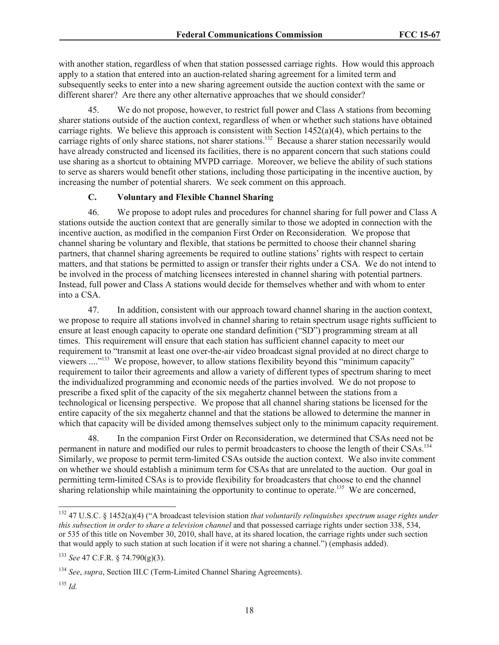with another station, regardless of when that station possessed carriage rights. How would this approach apply to a station that entered into an auction-related sharing agreement for a limited term and subsequently seeks to enter into a new sharing agreement outside the auction context with the same or different sharer? Are there any other alternative approaches that we should consider?

45. We do not propose, however, to restrict full power and Class A stations from becoming sharer stations outside of the auction context, regardless of when or whether such stations have obtained carriage rights. We believe this approach is consistent with Section  $1452(a)(4)$ , which pertains to the carriage rights of only sharee stations, not sharer stations.<sup>132</sup> Because a sharer station necessarily would have already constructed and licensed its facilities, there is no apparent concern that such stations could use sharing as a shortcut to obtaining MVPD carriage. Moreover, we believe the ability of such stations to serve as sharers would benefit other stations, including those participating in the incentive auction, by increasing the number of potential sharers. We seek comment on this approach.

# **C. Voluntary and Flexible Channel Sharing**

46. We propose to adopt rules and procedures for channel sharing for full power and Class A stations outside the auction context that are generally similar to those we adopted in connection with the incentive auction, as modified in the companion First Order on Reconsideration*.* We propose that channel sharing be voluntary and flexible, that stations be permitted to choose their channel sharing partners, that channel sharing agreements be required to outline stations' rights with respect to certain matters, and that stations be permitted to assign or transfer their rights under a CSA. We do not intend to be involved in the process of matching licensees interested in channel sharing with potential partners. Instead, full power and Class A stations would decide for themselves whether and with whom to enter into a CSA.

47. In addition, consistent with our approach toward channel sharing in the auction context, we propose to require all stations involved in channel sharing to retain spectrum usage rights sufficient to ensure at least enough capacity to operate one standard definition ("SD") programming stream at all times. This requirement will ensure that each station has sufficient channel capacity to meet our requirement to "transmit at least one over-the-air video broadcast signal provided at no direct charge to viewers ...."<sup>133</sup> We propose, however, to allow stations flexibility beyond this "minimum capacity" requirement to tailor their agreements and allow a variety of different types of spectrum sharing to meet the individualized programming and economic needs of the parties involved. We do not propose to prescribe a fixed split of the capacity of the six megahertz channel between the stations from a technological or licensing perspective. We propose that all channel sharing stations be licensed for the entire capacity of the six megahertz channel and that the stations be allowed to determine the manner in which that capacity will be divided among themselves subject only to the minimum capacity requirement.

48. In the companion First Order on Reconsideration, we determined that CSAs need not be permanent in nature and modified our rules to permit broadcasters to choose the length of their CSAs.<sup>134</sup> Similarly, we propose to permit term-limited CSAs outside the auction context. We also invite comment on whether we should establish a minimum term for CSAs that are unrelated to the auction. Our goal in permitting term-limited CSAs is to provide flexibility for broadcasters that choose to end the channel sharing relationship while maintaining the opportunity to continue to operate.<sup>135</sup> We are concerned,

 $\overline{a}$ 

<sup>132</sup> 47 U.S.C. § 1452(a)(4) ("A broadcast television station *that voluntarily relinquishes spectrum usage rights under this subsection in order to share a television channel* and that possessed carriage rights under section 338, 534, or 535 of this title on November 30, 2010, shall have, at its shared location, the carriage rights under such section that would apply to such station at such location if it were not sharing a channel.") (emphasis added).

<sup>133</sup> *See* 47 C.F.R. § 74.790(g)(3).

<sup>134</sup> *See*, *supra*, Section III.C (Term-Limited Channel Sharing Agreements).

<sup>135</sup> *Id.*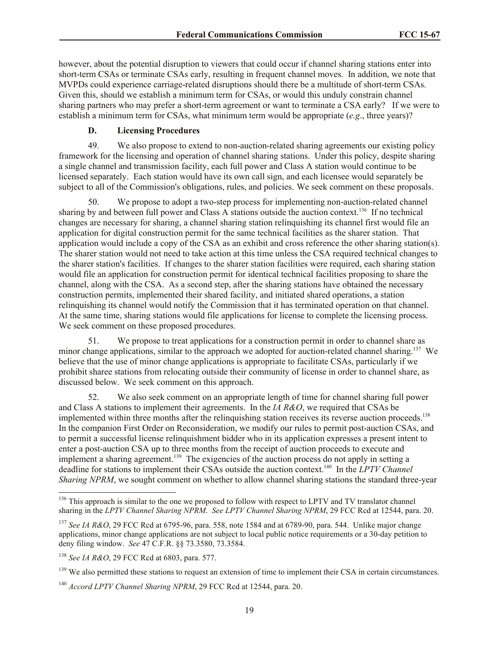however, about the potential disruption to viewers that could occur if channel sharing stations enter into short-term CSAs or terminate CSAs early, resulting in frequent channel moves. In addition, we note that MVPDs could experience carriage-related disruptions should there be a multitude of short-term CSAs. Given this, should we establish a minimum term for CSAs, or would this unduly constrain channel sharing partners who may prefer a short-term agreement or want to terminate a CSA early? If we were to establish a minimum term for CSAs, what minimum term would be appropriate (*e.g*., three years)?

### **D. Licensing Procedures**

49. We also propose to extend to non-auction-related sharing agreements our existing policy framework for the licensing and operation of channel sharing stations. Under this policy, despite sharing a single channel and transmission facility, each full power and Class A station would continue to be licensed separately. Each station would have its own call sign, and each licensee would separately be subject to all of the Commission's obligations, rules, and policies. We seek comment on these proposals.

50. We propose to adopt a two-step process for implementing non-auction-related channel sharing by and between full power and Class A stations outside the auction context.<sup>136</sup> If no technical changes are necessary for sharing, a channel sharing station relinquishing its channel first would file an application for digital construction permit for the same technical facilities as the sharer station. That application would include a copy of the CSA as an exhibit and cross reference the other sharing station(s). The sharer station would not need to take action at this time unless the CSA required technical changes to the sharer station's facilities. If changes to the sharer station facilities were required, each sharing station would file an application for construction permit for identical technical facilities proposing to share the channel, along with the CSA. As a second step, after the sharing stations have obtained the necessary construction permits, implemented their shared facility, and initiated shared operations, a station relinquishing its channel would notify the Commission that it has terminated operation on that channel. At the same time, sharing stations would file applications for license to complete the licensing process. We seek comment on these proposed procedures.

51. We propose to treat applications for a construction permit in order to channel share as minor change applications, similar to the approach we adopted for auction-related channel sharing.<sup>137</sup> We believe that the use of minor change applications is appropriate to facilitate CSAs, particularly if we prohibit sharee stations from relocating outside their community of license in order to channel share, as discussed below. We seek comment on this approach.

52. We also seek comment on an appropriate length of time for channel sharing full power and Class A stations to implement their agreements. In the *IA R&O*, we required that CSAs be implemented within three months after the relinquishing station receives its reverse auction proceeds.<sup>138</sup> In the companion First Order on Reconsideration, we modify our rules to permit post-auction CSAs, and to permit a successful license relinquishment bidder who in its application expresses a present intent to enter a post-auction CSA up to three months from the receipt of auction proceeds to execute and implement a sharing agreement.<sup>139</sup> The exigencies of the auction process do not apply in setting a deadline for stations to implement their CSAs outside the auction context.<sup>140</sup> In the *LPTV Channel Sharing NPRM*, we sought comment on whether to allow channel sharing stations the standard three-year

 $\overline{a}$ 

<sup>&</sup>lt;sup>136</sup> This approach is similar to the one we proposed to follow with respect to LPTV and TV translator channel sharing in the *LPTV Channel Sharing NPRM*. *See LPTV Channel Sharing NPRM*, 29 FCC Rcd at 12544, para. 20.

<sup>137</sup> *See IA R&O*, 29 FCC Rcd at 6795-96, para. 558, note 1584 and at 6789-90, para. 544. Unlike major change applications, minor change applications are not subject to local public notice requirements or a 30-day petition to deny filing window. *See* 47 C.F.R. §§ 73.3580, 73.3584.

<sup>138</sup> *See IA R&O*, 29 FCC Rcd at 6803, para. 577.

 $139$  We also permitted these stations to request an extension of time to implement their CSA in certain circumstances.

<sup>140</sup> *Accord LPTV Channel Sharing NPRM*, 29 FCC Rcd at 12544, para. 20.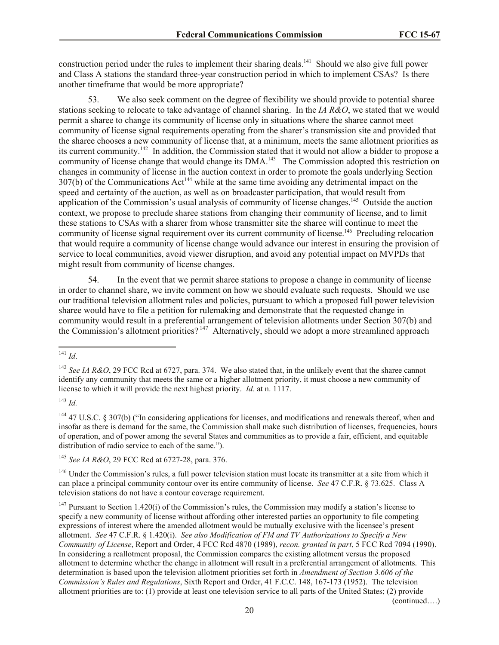construction period under the rules to implement their sharing deals.<sup>141</sup> Should we also give full power and Class A stations the standard three-year construction period in which to implement CSAs? Is there another timeframe that would be more appropriate?

53. We also seek comment on the degree of flexibility we should provide to potential sharee stations seeking to relocate to take advantage of channel sharing. In the *IA R&O*, we stated that we would permit a sharee to change its community of license only in situations where the sharee cannot meet community of license signal requirements operating from the sharer's transmission site and provided that the sharee chooses a new community of license that, at a minimum, meets the same allotment priorities as its current community.<sup>142</sup> In addition, the Commission stated that it would not allow a bidder to propose a community of license change that would change its DMA.<sup>143</sup> The Commission adopted this restriction on changes in community of license in the auction context in order to promote the goals underlying Section 307(b) of the Communications Act<sup>144</sup> while at the same time avoiding any detrimental impact on the speed and certainty of the auction, as well as on broadcaster participation, that would result from application of the Commission's usual analysis of community of license changes.<sup>145</sup> Outside the auction context, we propose to preclude sharee stations from changing their community of license, and to limit these stations to CSAs with a sharer from whose transmitter site the sharee will continue to meet the community of license signal requirement over its current community of license.<sup>146</sup> Precluding relocation that would require a community of license change would advance our interest in ensuring the provision of service to local communities, avoid viewer disruption, and avoid any potential impact on MVPDs that might result from community of license changes.

54. In the event that we permit sharee stations to propose a change in community of license in order to channel share, we invite comment on how we should evaluate such requests. Should we use our traditional television allotment rules and policies, pursuant to which a proposed full power television sharee would have to file a petition for rulemaking and demonstrate that the requested change in community would result in a preferential arrangement of television allotments under Section 307(b) and the Commission's allotment priorities?<sup>147</sup> Alternatively, should we adopt a more streamlined approach

<sup>144</sup> 47 U.S.C. § 307(b) ("In considering applications for licenses, and modifications and renewals thereof, when and insofar as there is demand for the same, the Commission shall make such distribution of licenses, frequencies, hours of operation, and of power among the several States and communities as to provide a fair, efficient, and equitable distribution of radio service to each of the same.").

<sup>145</sup> *See IA R&O*, 29 FCC Rcd at 6727-28, para. 376.

<sup>146</sup> Under the Commission's rules, a full power television station must locate its transmitter at a site from which it can place a principal community contour over its entire community of license. *See* 47 C.F.R. § 73.625. Class A television stations do not have a contour coverage requirement.

 $147$  Pursuant to Section 1.420(i) of the Commission's rules, the Commission may modify a station's license to specify a new community of license without affording other interested parties an opportunity to file competing expressions of interest where the amended allotment would be mutually exclusive with the licensee's present allotment. *See* 47 C.F.R. § 1.420(i). *See also Modification of FM and TV Authorizations to Specify a New Community of License*, Report and Order, 4 FCC Rcd 4870 (1989), *recon. granted in part*, 5 FCC Rcd 7094 (1990). In considering a reallotment proposal, the Commission compares the existing allotment versus the proposed allotment to determine whether the change in allotment will result in a preferential arrangement of allotments. This determination is based upon the television allotment priorities set forth in *Amendment of Section 3.606 of the Commission's Rules and Regulations*, Sixth Report and Order, 41 F.C.C. 148, 167-173 (1952). The television allotment priorities are to: (1) provide at least one television service to all parts of the United States; (2) provide

(continued….)

 $\overline{a}$ <sup>141</sup> *Id*.

<sup>142</sup> *See IA R&O*, 29 FCC Rcd at 6727, para. 374. We also stated that, in the unlikely event that the sharee cannot identify any community that meets the same or a higher allotment priority, it must choose a new community of license to which it will provide the next highest priority. *Id.* at n. 1117.

<sup>143</sup> *Id.*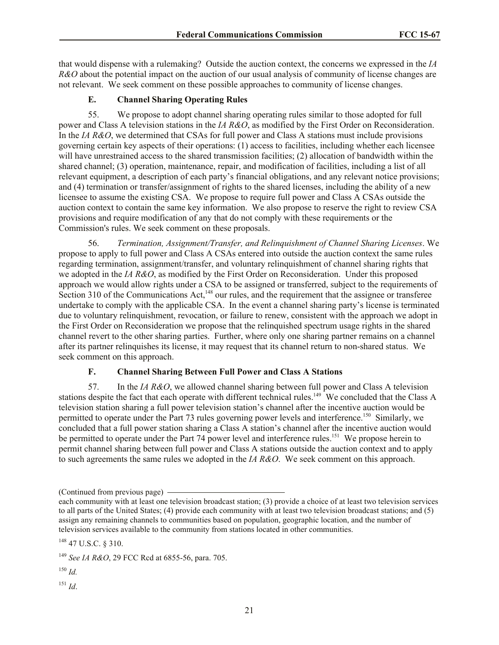that would dispense with a rulemaking? Outside the auction context, the concerns we expressed in the *IA R&O* about the potential impact on the auction of our usual analysis of community of license changes are not relevant. We seek comment on these possible approaches to community of license changes.

# **E. Channel Sharing Operating Rules**

55. We propose to adopt channel sharing operating rules similar to those adopted for full power and Class A television stations in the *IA R&O*, as modified by the First Order on Reconsideration. In the *IA R&O*, we determined that CSAs for full power and Class A stations must include provisions governing certain key aspects of their operations: (1) access to facilities, including whether each licensee will have unrestrained access to the shared transmission facilities; (2) allocation of bandwidth within the shared channel; (3) operation, maintenance, repair, and modification of facilities, including a list of all relevant equipment, a description of each party's financial obligations, and any relevant notice provisions; and (4) termination or transfer/assignment of rights to the shared licenses, including the ability of a new licensee to assume the existing CSA. We propose to require full power and Class A CSAs outside the auction context to contain the same key information. We also propose to reserve the right to review CSA provisions and require modification of any that do not comply with these requirements or the Commission's rules. We seek comment on these proposals.

56. *Termination, Assignment/Transfer, and Relinquishment of Channel Sharing Licenses*. We propose to apply to full power and Class A CSAs entered into outside the auction context the same rules regarding termination, assignment/transfer, and voluntary relinquishment of channel sharing rights that we adopted in the *IA R&O*, as modified by the First Order on Reconsideration. Under this proposed approach we would allow rights under a CSA to be assigned or transferred, subject to the requirements of Section 310 of the Communications Act, $^{148}$  our rules, and the requirement that the assignee or transferee undertake to comply with the applicable CSA. In the event a channel sharing party's license is terminated due to voluntary relinquishment, revocation, or failure to renew, consistent with the approach we adopt in the First Order on Reconsideration we propose that the relinquished spectrum usage rights in the shared channel revert to the other sharing parties. Further, where only one sharing partner remains on a channel after its partner relinquishes its license, it may request that its channel return to non-shared status. We seek comment on this approach.

# **F. Channel Sharing Between Full Power and Class A Stations**

57. In the *IA R&O*, we allowed channel sharing between full power and Class A television stations despite the fact that each operate with different technical rules.<sup>149</sup> We concluded that the Class A television station sharing a full power television station's channel after the incentive auction would be permitted to operate under the Part 73 rules governing power levels and interference.<sup>150</sup> Similarly, we concluded that a full power station sharing a Class A station's channel after the incentive auction would be permitted to operate under the Part 74 power level and interference rules.<sup>151</sup> We propose herein to permit channel sharing between full power and Class A stations outside the auction context and to apply to such agreements the same rules we adopted in the *IA R&O*. We seek comment on this approach.

<sup>150</sup> *Id.*

<sup>151</sup> *Id*.

<sup>(</sup>Continued from previous page)

each community with at least one television broadcast station; (3) provide a choice of at least two television services to all parts of the United States; (4) provide each community with at least two television broadcast stations; and (5) assign any remaining channels to communities based on population, geographic location, and the number of television services available to the community from stations located in other communities.

<sup>148</sup> 47 U.S.C. § 310.

<sup>149</sup> *See IA R&O*, 29 FCC Rcd at 6855-56, para. 705.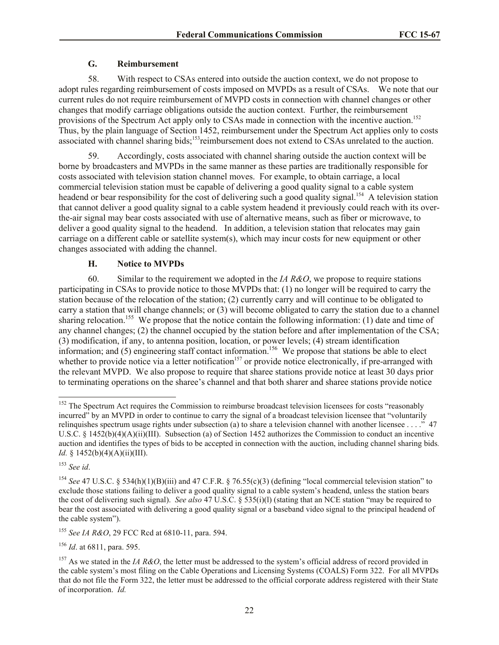### **G. Reimbursement**

58. With respect to CSAs entered into outside the auction context, we do not propose to adopt rules regarding reimbursement of costs imposed on MVPDs as a result of CSAs. We note that our current rules do not require reimbursement of MVPD costs in connection with channel changes or other changes that modify carriage obligations outside the auction context. Further, the reimbursement provisions of the Spectrum Act apply only to CSAs made in connection with the incentive auction.<sup>152</sup> Thus, by the plain language of Section 1452, reimbursement under the Spectrum Act applies only to costs associated with channel sharing bids;<sup>153</sup>reimbursement does not extend to CSAs unrelated to the auction.

59. Accordingly, costs associated with channel sharing outside the auction context will be borne by broadcasters and MVPDs in the same manner as these parties are traditionally responsible for costs associated with television station channel moves. For example, to obtain carriage, a local commercial television station must be capable of delivering a good quality signal to a cable system headend or bear responsibility for the cost of delivering such a good quality signal.<sup>154</sup> A television station that cannot deliver a good quality signal to a cable system headend it previously could reach with its overthe-air signal may bear costs associated with use of alternative means, such as fiber or microwave, to deliver a good quality signal to the headend. In addition, a television station that relocates may gain carriage on a different cable or satellite system(s), which may incur costs for new equipment or other changes associated with adding the channel.

# **H. Notice to MVPDs**

60. Similar to the requirement we adopted in the *IA R&O*, we propose to require stations participating in CSAs to provide notice to those MVPDs that: (1) no longer will be required to carry the station because of the relocation of the station; (2) currently carry and will continue to be obligated to carry a station that will change channels; or (3) will become obligated to carry the station due to a channel sharing relocation.<sup>155</sup> We propose that the notice contain the following information: (1) date and time of any channel changes; (2) the channel occupied by the station before and after implementation of the CSA; (3) modification, if any, to antenna position, location, or power levels; (4) stream identification information; and  $(5)$  engineering staff contact information.<sup>156</sup> We propose that stations be able to elect whether to provide notice via a letter notification<sup>157</sup> or provide notice electronically, if pre-arranged with the relevant MVPD. We also propose to require that sharee stations provide notice at least 30 days prior to terminating operations on the sharee's channel and that both sharer and sharee stations provide notice

<sup>153</sup> *See id*.

<sup>156</sup> *Id*. at 6811, para. 595.

 $\overline{a}$ <sup>152</sup> The Spectrum Act requires the Commission to reimburse broadcast television licensees for costs "reasonably incurred" by an MVPD in order to continue to carry the signal of a broadcast television licensee that "voluntarily relinquishes spectrum usage rights under subsection (a) to share a television channel with another licensee . . . ."  $47$ U.S.C. § 1452(b)(4)(A)(ii)(III). Subsection (a) of Section 1452 authorizes the Commission to conduct an incentive auction and identifies the types of bids to be accepted in connection with the auction, including channel sharing bids*. Id.* § 1452(b)(4)(A)(ii)(III).

<sup>154</sup> *See* 47 U.S.C. § 534(h)(1)(B)(iii) and 47 C.F.R. § 76.55(c)(3) (defining "local commercial television station" to exclude those stations failing to deliver a good quality signal to a cable system's headend, unless the station bears the cost of delivering such signal). *See also* 47 U.S.C. § 535(i)(l) (stating that an NCE station "may be required to bear the cost associated with delivering a good quality signal or a baseband video signal to the principal headend of the cable system").

<sup>155</sup> *See IA R&O*, 29 FCC Rcd at 6810-11, para. 594.

<sup>&</sup>lt;sup>157</sup> As we stated in the *IA R&O*, the letter must be addressed to the system's official address of record provided in the cable system's most filing on the Cable Operations and Licensing Systems (COALS) Form 322. For all MVPDs that do not file the Form 322, the letter must be addressed to the official corporate address registered with their State of incorporation. *Id.*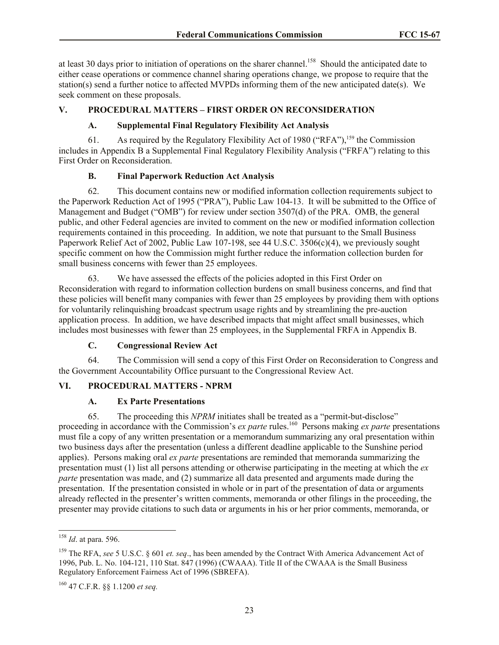at least 30 days prior to initiation of operations on the sharer channel.<sup>158</sup> Should the anticipated date to either cease operations or commence channel sharing operations change, we propose to require that the station(s) send a further notice to affected MVPDs informing them of the new anticipated date(s). We seek comment on these proposals.

### **V. PROCEDURAL MATTERS – FIRST ORDER ON RECONSIDERATION**

# **A. Supplemental Final Regulatory Flexibility Act Analysis**

61. As required by the Regulatory Flexibility Act of 1980 ("RFA"),<sup>159</sup> the Commission includes in Appendix B a Supplemental Final Regulatory Flexibility Analysis ("FRFA") relating to this First Order on Reconsideration.

### **B. Final Paperwork Reduction Act Analysis**

62. This document contains new or modified information collection requirements subject to the Paperwork Reduction Act of 1995 ("PRA"), Public Law 104-13. It will be submitted to the Office of Management and Budget ("OMB") for review under section 3507(d) of the PRA. OMB, the general public, and other Federal agencies are invited to comment on the new or modified information collection requirements contained in this proceeding. In addition, we note that pursuant to the Small Business Paperwork Relief Act of 2002, Public Law 107-198, see 44 U.S.C.  $3506(c)(4)$ , we previously sought specific comment on how the Commission might further reduce the information collection burden for small business concerns with fewer than 25 employees.

63. We have assessed the effects of the policies adopted in this First Order on Reconsideration with regard to information collection burdens on small business concerns, and find that these policies will benefit many companies with fewer than 25 employees by providing them with options for voluntarily relinquishing broadcast spectrum usage rights and by streamlining the pre-auction application process. In addition, we have described impacts that might affect small businesses, which includes most businesses with fewer than 25 employees, in the Supplemental FRFA in Appendix B.

### **C. Congressional Review Act**

64. The Commission will send a copy of this First Order on Reconsideration to Congress and the Government Accountability Office pursuant to the Congressional Review Act.

### **VI. PROCEDURAL MATTERS - NPRM**

### **A. Ex Parte Presentations**

65. The proceeding this *NPRM* initiates shall be treated as a "permit-but-disclose" proceeding in accordance with the Commission's *ex parte* rules.<sup>160</sup> Persons making *ex parte* presentations must file a copy of any written presentation or a memorandum summarizing any oral presentation within two business days after the presentation (unless a different deadline applicable to the Sunshine period applies). Persons making oral *ex parte* presentations are reminded that memoranda summarizing the presentation must (1) list all persons attending or otherwise participating in the meeting at which the *ex parte* presentation was made, and (2) summarize all data presented and arguments made during the presentation. If the presentation consisted in whole or in part of the presentation of data or arguments already reflected in the presenter's written comments, memoranda or other filings in the proceeding, the presenter may provide citations to such data or arguments in his or her prior comments, memoranda, or

 $\overline{a}$ 

<sup>158</sup> *Id*. at para. 596.

<sup>159</sup> The RFA, *see* 5 U.S.C. § 601 *et. seq*., has been amended by the Contract With America Advancement Act of 1996, Pub. L. No. 104-121, 110 Stat. 847 (1996) (CWAAA). Title II of the CWAAA is the Small Business Regulatory Enforcement Fairness Act of 1996 (SBREFA).

<sup>160</sup> 47 C.F.R. §§ 1.1200 *et seq.*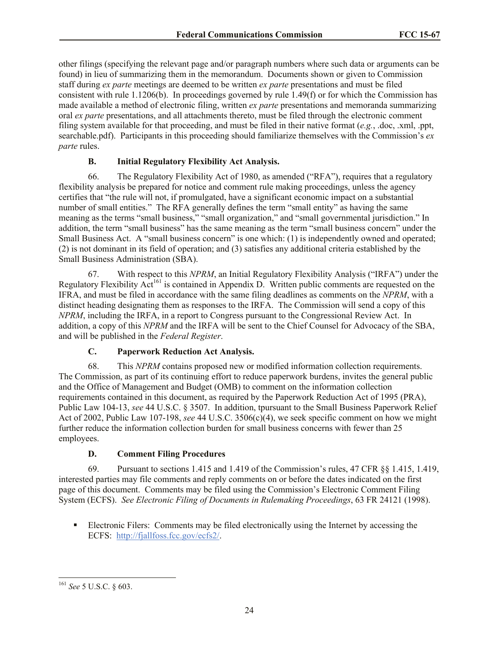other filings (specifying the relevant page and/or paragraph numbers where such data or arguments can be found) in lieu of summarizing them in the memorandum. Documents shown or given to Commission staff during *ex parte* meetings are deemed to be written *ex parte* presentations and must be filed consistent with rule 1.1206(b). In proceedings governed by rule 1.49(f) or for which the Commission has made available a method of electronic filing, written *ex parte* presentations and memoranda summarizing oral *ex parte* presentations, and all attachments thereto, must be filed through the electronic comment filing system available for that proceeding, and must be filed in their native format (*e.g.*, .doc, .xml, .ppt, searchable.pdf). Participants in this proceeding should familiarize themselves with the Commission's *ex parte* rules.

# **B. Initial Regulatory Flexibility Act Analysis.**

66. The Regulatory Flexibility Act of 1980, as amended ("RFA"), requires that a regulatory flexibility analysis be prepared for notice and comment rule making proceedings, unless the agency certifies that "the rule will not, if promulgated, have a significant economic impact on a substantial number of small entities." The RFA generally defines the term "small entity" as having the same meaning as the terms "small business," "small organization," and "small governmental jurisdiction." In addition, the term "small business" has the same meaning as the term "small business concern" under the Small Business Act. A "small business concern" is one which: (1) is independently owned and operated; (2) is not dominant in its field of operation; and (3) satisfies any additional criteria established by the Small Business Administration (SBA).

67. With respect to this *NPRM*, an Initial Regulatory Flexibility Analysis ("IRFA") under the Regulatory Flexibility Act<sup>161</sup> is contained in Appendix D. Written public comments are requested on the IFRA, and must be filed in accordance with the same filing deadlines as comments on the *NPRM*, with a distinct heading designating them as responses to the IRFA. The Commission will send a copy of this *NPRM*, including the IRFA, in a report to Congress pursuant to the Congressional Review Act. In addition, a copy of this *NPRM* and the IRFA will be sent to the Chief Counsel for Advocacy of the SBA, and will be published in the *Federal Register*.

# **C. Paperwork Reduction Act Analysis.**

68. This *NPRM* contains proposed new or modified information collection requirements. The Commission, as part of its continuing effort to reduce paperwork burdens, invites the general public and the Office of Management and Budget (OMB) to comment on the information collection requirements contained in this document, as required by the Paperwork Reduction Act of 1995 (PRA), Public Law 104-13, *see* 44 U.S.C. § 3507. In addition, tpursuant to the Small Business Paperwork Relief Act of 2002, Public Law 107-198, *see* 44 U.S.C. 3506(c)(4), we seek specific comment on how we might further reduce the information collection burden for small business concerns with fewer than 25 employees.

# **D. Comment Filing Procedures**

69. Pursuant to sections 1.415 and 1.419 of the Commission's rules, 47 CFR §§ 1.415, 1.419, interested parties may file comments and reply comments on or before the dates indicated on the first page of this document. Comments may be filed using the Commission's Electronic Comment Filing System (ECFS). *See Electronic Filing of Documents in Rulemaking Proceedings*, 63 FR 24121 (1998).

 Electronic Filers: Comments may be filed electronically using the Internet by accessing the ECFS: http://fjallfoss.fcc.gov/ecfs2/.

 $\overline{a}$ <sup>161</sup> *See* 5 U.S.C. § 603.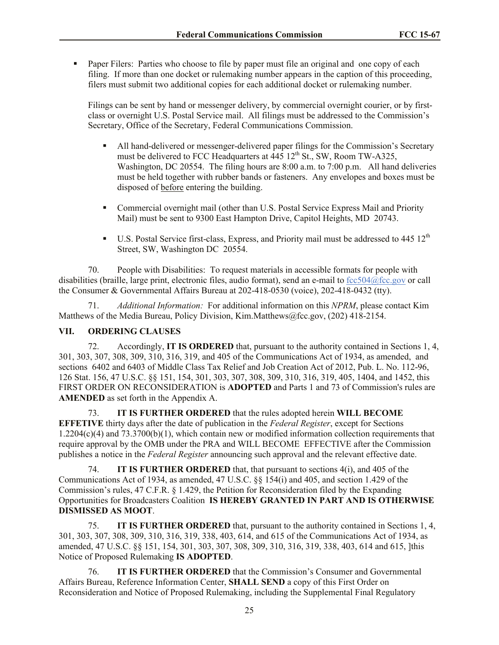Paper Filers: Parties who choose to file by paper must file an original and one copy of each filing. If more than one docket or rulemaking number appears in the caption of this proceeding, filers must submit two additional copies for each additional docket or rulemaking number.

Filings can be sent by hand or messenger delivery, by commercial overnight courier, or by firstclass or overnight U.S. Postal Service mail. All filings must be addressed to the Commission's Secretary, Office of the Secretary, Federal Communications Commission.

- All hand-delivered or messenger-delivered paper filings for the Commission's Secretary must be delivered to FCC Headquarters at  $445 \times 12^{th}$  St., SW, Room TW-A325, Washington, DC 20554. The filing hours are 8:00 a.m. to 7:00 p.m. All hand deliveries must be held together with rubber bands or fasteners. Any envelopes and boxes must be disposed of before entering the building.
- Commercial overnight mail (other than U.S. Postal Service Express Mail and Priority Mail) must be sent to 9300 East Hampton Drive, Capitol Heights, MD 20743.
- $\blacksquare$  U.S. Postal Service first-class, Express, and Priority mail must be addressed to 445 12<sup>th</sup> Street, SW, Washington DC 20554.

70. People with Disabilities: To request materials in accessible formats for people with disabilities (braille, large print, electronic files, audio format), send an e-mail to fcc504@fcc.gov or call the Consumer & Governmental Affairs Bureau at 202-418-0530 (voice), 202-418-0432 (tty).

71. *Additional Information:* For additional information on this *NPRM*, please contact Kim Matthews of the Media Bureau, Policy Division, Kim.Matthews@fcc.gov, (202) 418-2154.

### **VII. ORDERING CLAUSES**

72. Accordingly, **IT IS ORDERED** that, pursuant to the authority contained in Sections 1, 4, 301, 303, 307, 308, 309, 310, 316, 319, and 405 of the Communications Act of 1934, as amended, and sections 6402 and 6403 of Middle Class Tax Relief and Job Creation Act of 2012, Pub. L. No. 112-96, 126 Stat. 156, 47 U.S.C. §§ 151, 154, 301, 303, 307, 308, 309, 310, 316, 319, 405, 1404, and 1452, this FIRST ORDER ON RECONSIDERATION is **ADOPTED** and Parts 1 and 73 of Commission's rules are **AMENDED** as set forth in the Appendix A.

73. **IT IS FURTHER ORDERED** that the rules adopted herein **WILL BECOME EFFETIVE** thirty days after the date of publication in the *Federal Register*, except for Sections  $1.2204(c)(4)$  and  $73.3700(b)(1)$ , which contain new or modified information collection requirements that require approval by the OMB under the PRA and WILL BECOME EFFECTIVE after the Commission publishes a notice in the *Federal Register* announcing such approval and the relevant effective date.

74. **IT IS FURTHER ORDERED** that, that pursuant to sections 4(i), and 405 of the Communications Act of 1934, as amended, 47 U.S.C. §§ 154(i) and 405, and section 1.429 of the Commission's rules, 47 C.F.R. § 1.429, the Petition for Reconsideration filed by the Expanding Opportunities for Broadcasters Coalition **IS HEREBY GRANTED IN PART AND IS OTHERWISE DISMISSED AS MOOT**.

75. **IT IS FURTHER ORDERED** that, pursuant to the authority contained in Sections 1, 4, 301, 303, 307, 308, 309, 310, 316, 319, 338, 403, 614, and 615 of the Communications Act of 1934, as amended, 47 U.S.C. §§ 151, 154, 301, 303, 307, 308, 309, 310, 316, 319, 338, 403, 614 and 615, ]this Notice of Proposed Rulemaking **IS ADOPTED**.

76. **IT IS FURTHER ORDERED** that the Commission's Consumer and Governmental Affairs Bureau, Reference Information Center, **SHALL SEND** a copy of this First Order on Reconsideration and Notice of Proposed Rulemaking, including the Supplemental Final Regulatory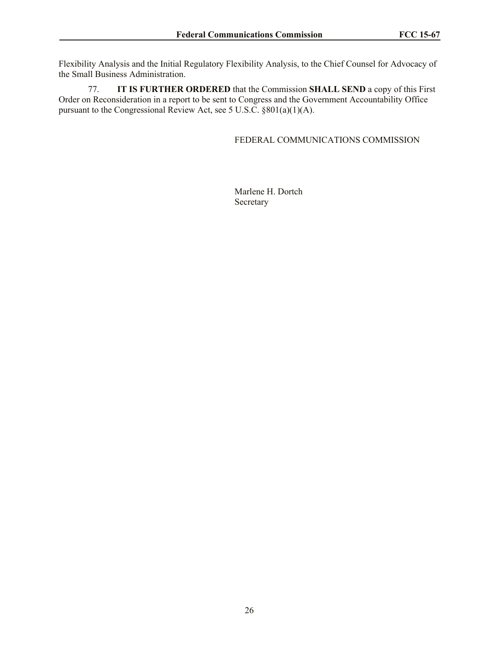Flexibility Analysis and the Initial Regulatory Flexibility Analysis, to the Chief Counsel for Advocacy of the Small Business Administration.

77. **IT IS FURTHER ORDERED** that the Commission **SHALL SEND** a copy of this First Order on Reconsideration in a report to be sent to Congress and the Government Accountability Office pursuant to the Congressional Review Act, see 5 U.S.C. §801(a)(1)(A).

FEDERAL COMMUNICATIONS COMMISSION

Marlene H. Dortch Secretary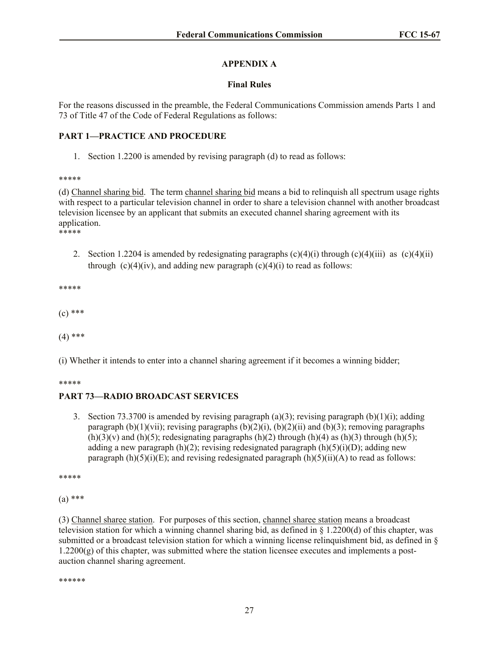# **APPENDIX A**

### **Final Rules**

For the reasons discussed in the preamble, the Federal Communications Commission amends Parts 1 and 73 of Title 47 of the Code of Federal Regulations as follows:

### **PART 1—PRACTICE AND PROCEDURE**

1. Section 1.2200 is amended by revising paragraph (d) to read as follows:

\*\*\*\*\*

(d) Channel sharing bid. The term channel sharing bid means a bid to relinquish all spectrum usage rights with respect to a particular television channel in order to share a television channel with another broadcast television licensee by an applicant that submits an executed channel sharing agreement with its application. \*\*\*\*\*

- - 2. Section 1.2204 is amended by redesignating paragraphs  $(c)(4)(i)$  through  $(c)(4)(iii)$  as  $(c)(4)(ii)$ through  $(c)(4)(iv)$ , and adding new paragraph  $(c)(4)(i)$  to read as follows:

\*\*\*\*\*

 $(c)$  \*\*\*

 $(4)$  \*\*\*

(i) Whether it intends to enter into a channel sharing agreement if it becomes a winning bidder;

\*\*\*\*\*

# **PART 73—RADIO BROADCAST SERVICES**

3. Section 73.3700 is amended by revising paragraph  $(a)(3)$ ; revising paragraph  $(b)(1)(i)$ ; adding paragraph  $(b)(1)(vii)$ ; revising paragraphs  $(b)(2)(i)$ ,  $(b)(2)(ii)$  and  $(b)(3)$ ; removing paragraphs  $(h)(3)(v)$  and  $(h)(5)$ ; redesignating paragraphs  $(h)(2)$  through  $(h)(4)$  as  $(h)(3)$  through  $(h)(5)$ ; adding a new paragraph  $(h)(2)$ ; revising redesignated paragraph  $(h)(5)(i)(D)$ ; adding new paragraph  $(h)(5)(i)(E)$ ; and revising redesignated paragraph  $(h)(5)(ii)(A)$  to read as follows:

\*\*\*\*\*

 $(a)$  \*\*\*

(3) Channel sharee station. For purposes of this section, channel sharee station means a broadcast television station for which a winning channel sharing bid, as defined in § 1.2200(d) of this chapter, was submitted or a broadcast television station for which a winning license relinquishment bid, as defined in §  $1.2200(g)$  of this chapter, was submitted where the station licensee executes and implements a postauction channel sharing agreement.

\*\*\*\*\*\*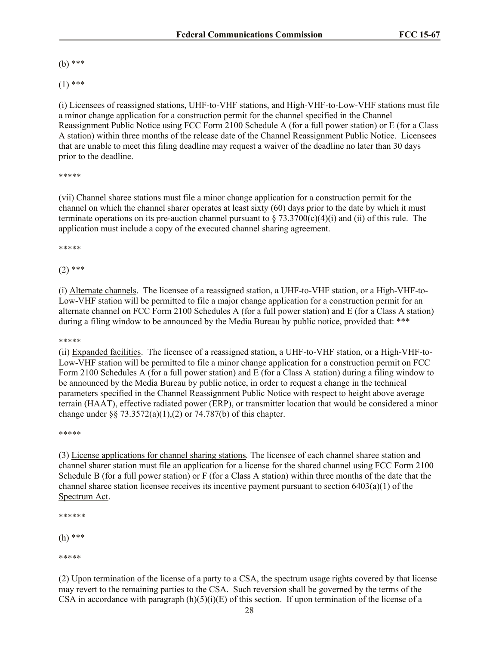(b) \*\*\*

 $(1)$  \*\*\*

(i) Licensees of reassigned stations, UHF-to-VHF stations, and High-VHF-to-Low-VHF stations must file a minor change application for a construction permit for the channel specified in the Channel Reassignment Public Notice using FCC Form 2100 Schedule A (for a full power station) or E (for a Class A station) within three months of the release date of the Channel Reassignment Public Notice. Licensees that are unable to meet this filing deadline may request a waiver of the deadline no later than 30 days prior to the deadline.

#### \*\*\*\*\*

(vii) Channel sharee stations must file a minor change application for a construction permit for the channel on which the channel sharer operates at least sixty (60) days prior to the date by which it must terminate operations on its pre-auction channel pursuant to  $\S 73.3700(c)(4)(i)$  and (ii) of this rule. The application must include a copy of the executed channel sharing agreement.

#### \*\*\*\*\*

### $(2)$  \*\*\*

(i) Alternate channels. The licensee of a reassigned station, a UHF-to-VHF station, or a High-VHF-to-Low-VHF station will be permitted to file a major change application for a construction permit for an alternate channel on FCC Form 2100 Schedules A (for a full power station) and E (for a Class A station) during a filing window to be announced by the Media Bureau by public notice, provided that: \*\*\*

#### \*\*\*\*\*

(ii) Expanded facilities. The licensee of a reassigned station, a UHF-to-VHF station, or a High-VHF-to-Low-VHF station will be permitted to file a minor change application for a construction permit on FCC Form 2100 Schedules A (for a full power station) and E (for a Class A station) during a filing window to be announced by the Media Bureau by public notice, in order to request a change in the technical parameters specified in the Channel Reassignment Public Notice with respect to height above average terrain (HAAT), effective radiated power (ERP), or transmitter location that would be considered a minor change under §§ 73.3572(a)(1),(2) or 74.787(b) of this chapter.

#### \*\*\*\*\*

(3) License applications for channel sharing stations*.* The licensee of each channel sharee station and channel sharer station must file an application for a license for the shared channel using FCC Form 2100 Schedule B (for a full power station) or F (for a Class A station) within three months of the date that the channel sharee station licensee receives its incentive payment pursuant to section  $6403(a)(1)$  of the Spectrum Act.

\*\*\*\*\*\*

(h) \*\*\*

\*\*\*\*\*

(2) Upon termination of the license of a party to a CSA, the spectrum usage rights covered by that license may revert to the remaining parties to the CSA. Such reversion shall be governed by the terms of the CSA in accordance with paragraph  $(h)(5)(i)(E)$  of this section. If upon termination of the license of a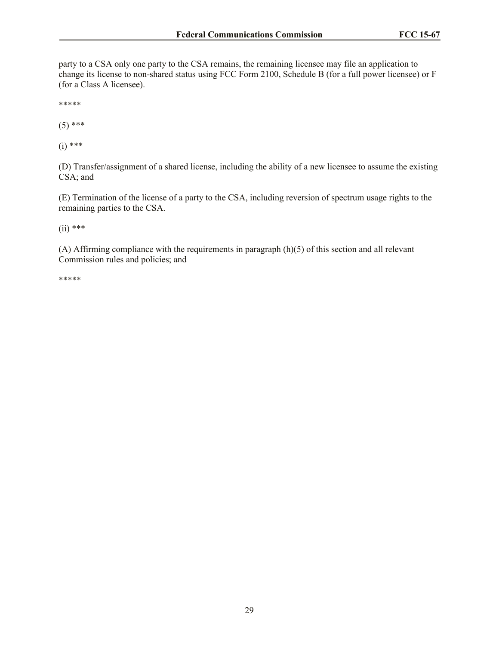party to a CSA only one party to the CSA remains, the remaining licensee may file an application to change its license to non-shared status using FCC Form 2100, Schedule B (for a full power licensee) or F (for a Class A licensee).

\*\*\*\*\*

 $(5)$  \*\*\*

 $(i)$  \*\*\*

(D) Transfer/assignment of a shared license, including the ability of a new licensee to assume the existing CSA; and

(E) Termination of the license of a party to the CSA, including reversion of spectrum usage rights to the remaining parties to the CSA.

 $(ii)$  \*\*\*

(A) Affirming compliance with the requirements in paragraph (h)(5) of this section and all relevant Commission rules and policies; and

\*\*\*\*\*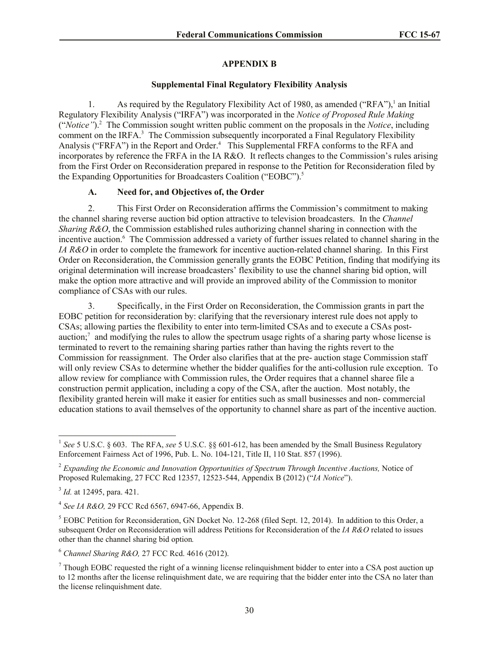## **APPENDIX B**

### **Supplemental Final Regulatory Flexibility Analysis**

1. As required by the Regulatory Flexibility Act of 1980, as amended ("RFA"),<sup>1</sup> an Initial Regulatory Flexibility Analysis ("IRFA") was incorporated in the *Notice of Proposed Rule Making* ("*Notice"*). 2 The Commission sought written public comment on the proposals in the *Notice*, including comment on the IRFA.<sup>3</sup> The Commission subsequently incorporated a Final Regulatory Flexibility Analysis ("FRFA") in the Report and Order.<sup>4</sup> This Supplemental FRFA conforms to the RFA and incorporates by reference the FRFA in the IA R&O. It reflects changes to the Commission's rules arising from the First Order on Reconsideration prepared in response to the Petition for Reconsideration filed by the Expanding Opportunities for Broadcasters Coalition ("EOBC").<sup>5</sup>

# **A. Need for, and Objectives of, the Order**

2. This First Order on Reconsideration affirms the Commission's commitment to making the channel sharing reverse auction bid option attractive to television broadcasters. In the *Channel Sharing R&O*, the Commission established rules authorizing channel sharing in connection with the incentive auction.<sup>6</sup> The Commission addressed a variety of further issues related to channel sharing in the *IA R&O* in order to complete the framework for incentive auction-related channel sharing. In this First Order on Reconsideration, the Commission generally grants the EOBC Petition, finding that modifying its original determination will increase broadcasters' flexibility to use the channel sharing bid option, will make the option more attractive and will provide an improved ability of the Commission to monitor compliance of CSAs with our rules.

3. Specifically, in the First Order on Reconsideration, the Commission grants in part the EOBC petition for reconsideration by: clarifying that the reversionary interest rule does not apply to CSAs; allowing parties the flexibility to enter into term-limited CSAs and to execute a CSAs postauction;<sup>7</sup> and modifying the rules to allow the spectrum usage rights of a sharing party whose license is terminated to revert to the remaining sharing parties rather than having the rights revert to the Commission for reassignment. The Order also clarifies that at the pre- auction stage Commission staff will only review CSAs to determine whether the bidder qualifies for the anti-collusion rule exception. To allow review for compliance with Commission rules, the Order requires that a channel sharee file a construction permit application, including a copy of the CSA, after the auction. Most notably, the flexibility granted herein will make it easier for entities such as small businesses and non- commercial education stations to avail themselves of the opportunity to channel share as part of the incentive auction.

<sup>&</sup>lt;sup>1</sup> See 5 U.S.C. § 603. The RFA, see 5 U.S.C. §§ 601-612, has been amended by the Small Business Regulatory Enforcement Fairness Act of 1996, Pub. L. No. 104-121, Title II, 110 Stat. 857 (1996).

<sup>2</sup> *Expanding the Economic and Innovation Opportunities of Spectrum Through Incentive Auctions,* Notice of Proposed Rulemaking, 27 FCC Rcd 12357, 12523-544, Appendix B (2012) ("*IA Notice*").

<sup>3</sup> *Id.* at 12495, para. 421.

<sup>4</sup> *See IA R&O,* 29 FCC Rcd 6567, 6947-66, Appendix B.

<sup>&</sup>lt;sup>5</sup> EOBC Petition for Reconsideration, GN Docket No. 12-268 (filed Sept. 12, 2014). In addition to this Order, a subsequent Order on Reconsideration will address Petitions for Reconsideration of the *IA R&O* related to issues other than the channel sharing bid option*.*

<sup>6</sup> *Channel Sharing R&O,* 27 FCC Rcd. 4616 (2012).

 $<sup>7</sup>$  Though EOBC requested the right of a winning license relinguishment bidder to enter into a CSA post auction up</sup> to 12 months after the license relinquishment date, we are requiring that the bidder enter into the CSA no later than the license relinquishment date.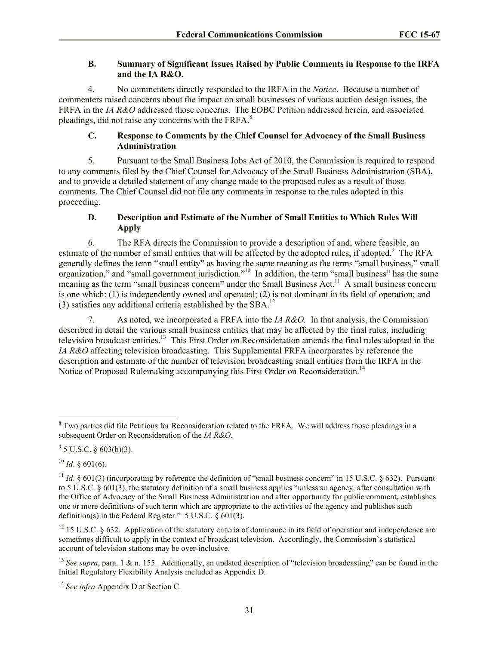# **B. Summary of Significant Issues Raised by Public Comments in Response to the IRFA and the IA R&O.**

4. No commenters directly responded to the IRFA in the *Notice*. Because a number of commenters raised concerns about the impact on small businesses of various auction design issues, the FRFA in the *IA R&O* addressed those concerns. The EOBC Petition addressed herein, and associated pleadings, did not raise any concerns with the FRFA.<sup>8</sup>

# **C. Response to Comments by the Chief Counsel for Advocacy of the Small Business Administration**

5. Pursuant to the Small Business Jobs Act of 2010, the Commission is required to respond to any comments filed by the Chief Counsel for Advocacy of the Small Business Administration (SBA), and to provide a detailed statement of any change made to the proposed rules as a result of those comments. The Chief Counsel did not file any comments in response to the rules adopted in this proceeding.

# **D. Description and Estimate of the Number of Small Entities to Which Rules Will Apply**

6. The RFA directs the Commission to provide a description of and, where feasible, an estimate of the number of small entities that will be affected by the adopted rules, if adopted.<sup>9</sup> The RFA generally defines the term "small entity" as having the same meaning as the terms "small business," small organization," and "small government jurisdiction."<sup>10</sup> In addition, the term "small business" has the same meaning as the term "small business concern" under the Small Business Act.<sup>11</sup> A small business concern is one which: (1) is independently owned and operated; (2) is not dominant in its field of operation; and (3) satisfies any additional criteria established by the SBA.<sup>12</sup>

7. As noted, we incorporated a FRFA into the *IA R&O.* In that analysis, the Commission described in detail the various small business entities that may be affected by the final rules, including television broadcast entities.<sup>13</sup> This First Order on Reconsideration amends the final rules adopted in the *IA R&O* affecting television broadcasting. This Supplemental FRFA incorporates by reference the description and estimate of the number of television broadcasting small entities from the IRFA in the Notice of Proposed Rulemaking accompanying this First Order on Reconsideration.<sup>14</sup>

 $\overline{\phantom{a}}$ 

<sup>&</sup>lt;sup>8</sup> Two parties did file Petitions for Reconsideration related to the FRFA. We will address those pleadings in a subsequent Order on Reconsideration of the *IA R&O*.

 $9^9$  5 U.S.C. § 603(b)(3).

 $^{10}$  *Id*. § 601(6).

<sup>&</sup>lt;sup>11</sup> *Id.*  $\&$  601(3) (incorporating by reference the definition of "small business concern" in 15 U.S.C.  $\&$  632). Pursuant to 5 U.S.C. § 601(3), the statutory definition of a small business applies "unless an agency, after consultation with the Office of Advocacy of the Small Business Administration and after opportunity for public comment, establishes one or more definitions of such term which are appropriate to the activities of the agency and publishes such definition(s) in the Federal Register." 5 U.S.C.  $\frac{6}{9}$  601(3).

 $12$  15 U.S.C. § 632. Application of the statutory criteria of dominance in its field of operation and independence are sometimes difficult to apply in the context of broadcast television. Accordingly, the Commission's statistical account of television stations may be over-inclusive.

<sup>&</sup>lt;sup>13</sup> *See supra*, para. 1 & n. 155. Additionally, an updated description of "television broadcasting" can be found in the Initial Regulatory Flexibility Analysis included as Appendix D.

<sup>14</sup> *See infra* Appendix D at Section C.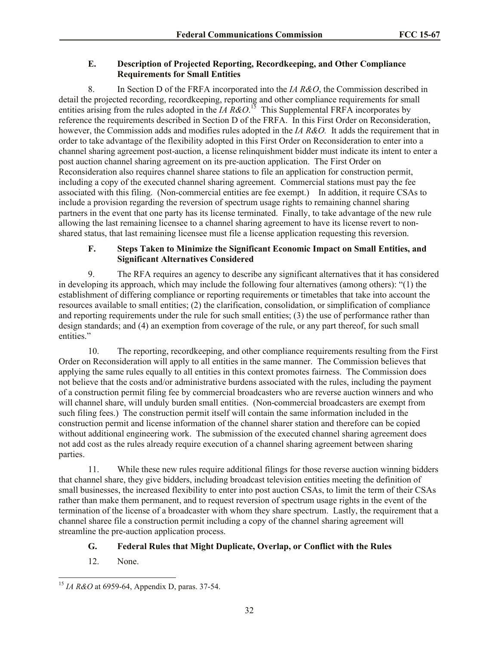# **E. Description of Projected Reporting, Recordkeeping, and Other Compliance Requirements for Small Entities**

8. In Section D of the FRFA incorporated into the *IA R&O*, the Commission described in detail the projected recording, recordkeeping, reporting and other compliance requirements for small entities arising from the rules adopted in the *IA R&O*.<sup>15</sup> This Supplemental FRFA incorporates by reference the requirements described in Section D of the FRFA. In this First Order on Reconsideration, however, the Commission adds and modifies rules adopted in the *IA R&O*. It adds the requirement that in order to take advantage of the flexibility adopted in this First Order on Reconsideration to enter into a channel sharing agreement post-auction, a license relinquishment bidder must indicate its intent to enter a post auction channel sharing agreement on its pre-auction application. The First Order on Reconsideration also requires channel sharee stations to file an application for construction permit, including a copy of the executed channel sharing agreement. Commercial stations must pay the fee associated with this filing. (Non-commercial entities are fee exempt.) In addition, it require CSAs to include a provision regarding the reversion of spectrum usage rights to remaining channel sharing partners in the event that one party has its license terminated. Finally, to take advantage of the new rule allowing the last remaining licensee to a channel sharing agreement to have its license revert to nonshared status, that last remaining licensee must file a license application requesting this reversion.

# **F. Steps Taken to Minimize the Significant Economic Impact on Small Entities, and Significant Alternatives Considered**

9. The RFA requires an agency to describe any significant alternatives that it has considered in developing its approach, which may include the following four alternatives (among others): "(1) the establishment of differing compliance or reporting requirements or timetables that take into account the resources available to small entities; (2) the clarification, consolidation, or simplification of compliance and reporting requirements under the rule for such small entities; (3) the use of performance rather than design standards; and (4) an exemption from coverage of the rule, or any part thereof, for such small entities."

10. The reporting, recordkeeping, and other compliance requirements resulting from the First Order on Reconsideration will apply to all entities in the same manner. The Commission believes that applying the same rules equally to all entities in this context promotes fairness. The Commission does not believe that the costs and/or administrative burdens associated with the rules, including the payment of a construction permit filing fee by commercial broadcasters who are reverse auction winners and who will channel share, will unduly burden small entities. (Non-commercial broadcasters are exempt from such filing fees.) The construction permit itself will contain the same information included in the construction permit and license information of the channel sharer station and therefore can be copied without additional engineering work. The submission of the executed channel sharing agreement does not add cost as the rules already require execution of a channel sharing agreement between sharing parties.

11. While these new rules require additional filings for those reverse auction winning bidders that channel share, they give bidders, including broadcast television entities meeting the definition of small businesses, the increased flexibility to enter into post auction CSAs, to limit the term of their CSAs rather than make them permanent, and to request reversion of spectrum usage rights in the event of the termination of the license of a broadcaster with whom they share spectrum. Lastly, the requirement that a channel sharee file a construction permit including a copy of the channel sharing agreement will streamline the pre-auction application process.

# **G. Federal Rules that Might Duplicate, Overlap, or Conflict with the Rules**

12. None.

 $\overline{a}$ <sup>15</sup> *IA R&O* at 6959-64, Appendix D, paras. 37-54.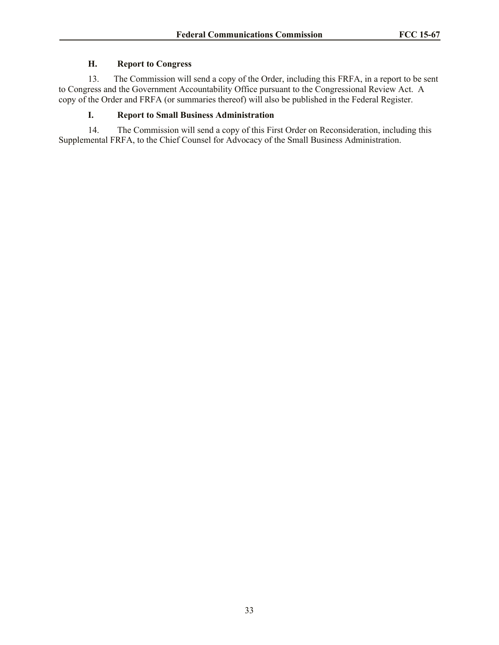# **H. Report to Congress**

13. The Commission will send a copy of the Order, including this FRFA, in a report to be sent to Congress and the Government Accountability Office pursuant to the Congressional Review Act. A copy of the Order and FRFA (or summaries thereof) will also be published in the Federal Register.

# **I. Report to Small Business Administration**

14. The Commission will send a copy of this First Order on Reconsideration, including this Supplemental FRFA, to the Chief Counsel for Advocacy of the Small Business Administration.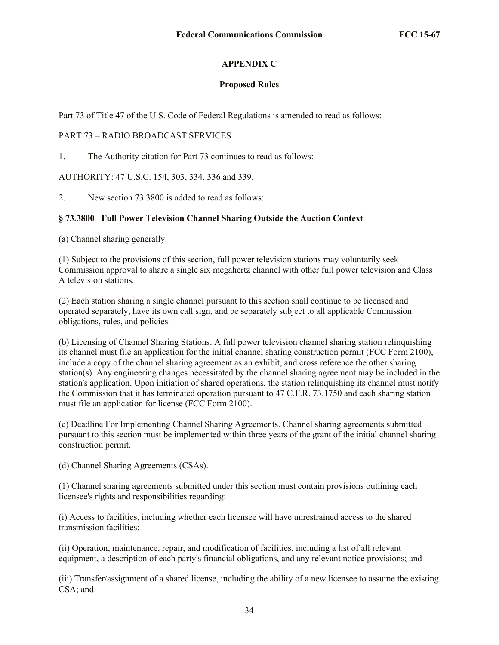# **APPENDIX C**

# **Proposed Rules**

Part 73 of Title 47 of the U.S. Code of Federal Regulations is amended to read as follows:

# PART 73 – RADIO BROADCAST SERVICES

1. The Authority citation for Part 73 continues to read as follows:

AUTHORITY: 47 U.S.C. 154, 303, 334, 336 and 339.

2. New section 73.3800 is added to read as follows:

# **§ 73.3800 Full Power Television Channel Sharing Outside the Auction Context**

(a) Channel sharing generally.

(1) Subject to the provisions of this section, full power television stations may voluntarily seek Commission approval to share a single six megahertz channel with other full power television and Class A television stations.

(2) Each station sharing a single channel pursuant to this section shall continue to be licensed and operated separately, have its own call sign, and be separately subject to all applicable Commission obligations, rules, and policies.

(b) Licensing of Channel Sharing Stations. A full power television channel sharing station relinquishing its channel must file an application for the initial channel sharing construction permit (FCC Form 2100), include a copy of the channel sharing agreement as an exhibit, and cross reference the other sharing station(s). Any engineering changes necessitated by the channel sharing agreement may be included in the station's application. Upon initiation of shared operations, the station relinquishing its channel must notify the Commission that it has terminated operation pursuant to 47 C.F.R. 73.1750 and each sharing station must file an application for license (FCC Form 2100).

(c) Deadline For Implementing Channel Sharing Agreements. Channel sharing agreements submitted pursuant to this section must be implemented within three years of the grant of the initial channel sharing construction permit.

(d) Channel Sharing Agreements (CSAs).

(1) Channel sharing agreements submitted under this section must contain provisions outlining each licensee's rights and responsibilities regarding:

(i) Access to facilities, including whether each licensee will have unrestrained access to the shared transmission facilities;

(ii) Operation, maintenance, repair, and modification of facilities, including a list of all relevant equipment, a description of each party's financial obligations, and any relevant notice provisions; and

(iii) Transfer/assignment of a shared license, including the ability of a new licensee to assume the existing CSA; and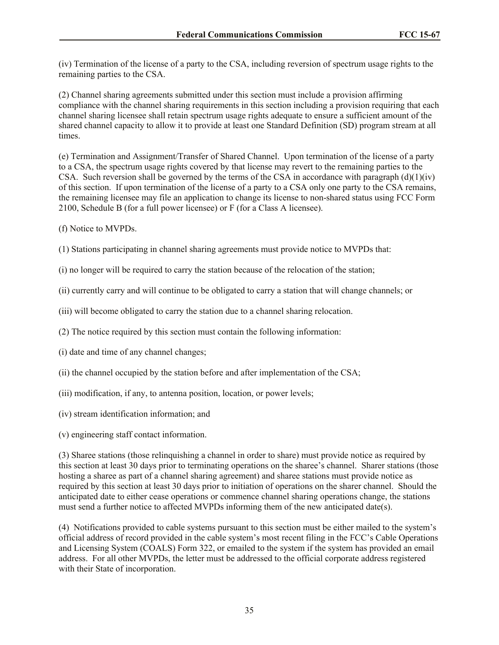(iv) Termination of the license of a party to the CSA, including reversion of spectrum usage rights to the remaining parties to the CSA.

(2) Channel sharing agreements submitted under this section must include a provision affirming compliance with the channel sharing requirements in this section including a provision requiring that each channel sharing licensee shall retain spectrum usage rights adequate to ensure a sufficient amount of the shared channel capacity to allow it to provide at least one Standard Definition (SD) program stream at all times.

(e) Termination and Assignment/Transfer of Shared Channel. Upon termination of the license of a party to a CSA, the spectrum usage rights covered by that license may revert to the remaining parties to the CSA. Such reversion shall be governed by the terms of the CSA in accordance with paragraph  $(d)(1)(iv)$ of this section. If upon termination of the license of a party to a CSA only one party to the CSA remains, the remaining licensee may file an application to change its license to non-shared status using FCC Form 2100, Schedule B (for a full power licensee) or F (for a Class A licensee).

- (f) Notice to MVPDs.
- (1) Stations participating in channel sharing agreements must provide notice to MVPDs that:

(i) no longer will be required to carry the station because of the relocation of the station;

(ii) currently carry and will continue to be obligated to carry a station that will change channels; or

- (iii) will become obligated to carry the station due to a channel sharing relocation.
- (2) The notice required by this section must contain the following information:
- (i) date and time of any channel changes;
- (ii) the channel occupied by the station before and after implementation of the CSA;
- (iii) modification, if any, to antenna position, location, or power levels;
- (iv) stream identification information; and
- (v) engineering staff contact information.

(3) Sharee stations (those relinquishing a channel in order to share) must provide notice as required by this section at least 30 days prior to terminating operations on the sharee's channel. Sharer stations (those hosting a sharee as part of a channel sharing agreement) and sharee stations must provide notice as required by this section at least 30 days prior to initiation of operations on the sharer channel. Should the anticipated date to either cease operations or commence channel sharing operations change, the stations must send a further notice to affected MVPDs informing them of the new anticipated date(s).

(4) Notifications provided to cable systems pursuant to this section must be either mailed to the system's official address of record provided in the cable system's most recent filing in the FCC's Cable Operations and Licensing System (COALS) Form 322, or emailed to the system if the system has provided an email address. For all other MVPDs, the letter must be addressed to the official corporate address registered with their State of incorporation.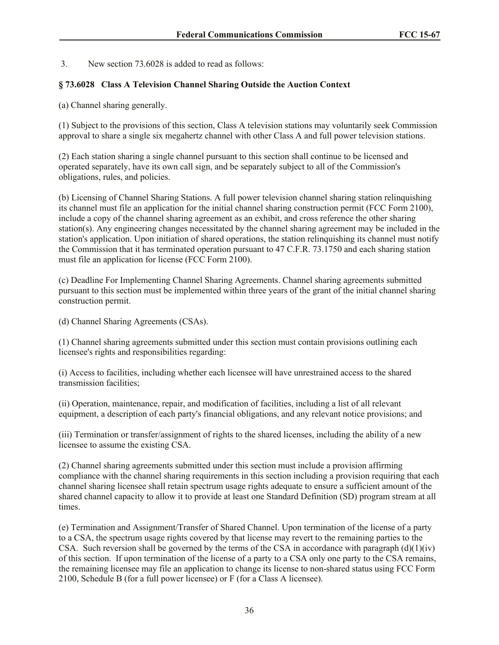3. New section 73.6028 is added to read as follows:

# **§ 73.6028 Class A Television Channel Sharing Outside the Auction Context**

(a) Channel sharing generally.

(1) Subject to the provisions of this section, Class A television stations may voluntarily seek Commission approval to share a single six megahertz channel with other Class A and full power television stations.

(2) Each station sharing a single channel pursuant to this section shall continue to be licensed and operated separately, have its own call sign, and be separately subject to all of the Commission's obligations, rules, and policies.

(b) Licensing of Channel Sharing Stations. A full power television channel sharing station relinquishing its channel must file an application for the initial channel sharing construction permit (FCC Form 2100), include a copy of the channel sharing agreement as an exhibit, and cross reference the other sharing station(s). Any engineering changes necessitated by the channel sharing agreement may be included in the station's application. Upon initiation of shared operations, the station relinquishing its channel must notify the Commission that it has terminated operation pursuant to 47 C.F.R. 73.1750 and each sharing station must file an application for license (FCC Form 2100).

(c) Deadline For Implementing Channel Sharing Agreements. Channel sharing agreements submitted pursuant to this section must be implemented within three years of the grant of the initial channel sharing construction permit.

(d) Channel Sharing Agreements (CSAs).

(1) Channel sharing agreements submitted under this section must contain provisions outlining each licensee's rights and responsibilities regarding:

(i) Access to facilities, including whether each licensee will have unrestrained access to the shared transmission facilities;

(ii) Operation, maintenance, repair, and modification of facilities, including a list of all relevant equipment, a description of each party's financial obligations, and any relevant notice provisions; and

(iii) Termination or transfer/assignment of rights to the shared licenses, including the ability of a new licensee to assume the existing CSA.

(2) Channel sharing agreements submitted under this section must include a provision affirming compliance with the channel sharing requirements in this section including a provision requiring that each channel sharing licensee shall retain spectrum usage rights adequate to ensure a sufficient amount of the shared channel capacity to allow it to provide at least one Standard Definition (SD) program stream at all times.

(e) Termination and Assignment/Transfer of Shared Channel. Upon termination of the license of a party to a CSA, the spectrum usage rights covered by that license may revert to the remaining parties to the CSA. Such reversion shall be governed by the terms of the CSA in accordance with paragraph  $(d)(1)(iy)$ of this section. If upon termination of the license of a party to a CSA only one party to the CSA remains, the remaining licensee may file an application to change its license to non-shared status using FCC Form 2100, Schedule B (for a full power licensee) or F (for a Class A licensee).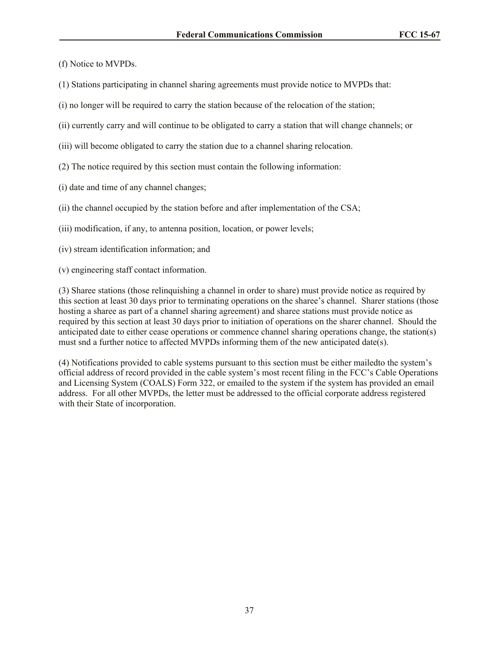(f) Notice to MVPDs.

- (1) Stations participating in channel sharing agreements must provide notice to MVPDs that:
- (i) no longer will be required to carry the station because of the relocation of the station;
- (ii) currently carry and will continue to be obligated to carry a station that will change channels; or
- (iii) will become obligated to carry the station due to a channel sharing relocation.
- (2) The notice required by this section must contain the following information:
- (i) date and time of any channel changes;
- (ii) the channel occupied by the station before and after implementation of the CSA;
- (iii) modification, if any, to antenna position, location, or power levels;
- (iv) stream identification information; and
- (v) engineering staff contact information.

(3) Sharee stations (those relinquishing a channel in order to share) must provide notice as required by this section at least 30 days prior to terminating operations on the sharee's channel. Sharer stations (those hosting a sharee as part of a channel sharing agreement) and sharee stations must provide notice as required by this section at least 30 days prior to initiation of operations on the sharer channel. Should the anticipated date to either cease operations or commence channel sharing operations change, the station(s) must snd a further notice to affected MVPDs informing them of the new anticipated date(s).

(4) Notifications provided to cable systems pursuant to this section must be either mailedto the system's official address of record provided in the cable system's most recent filing in the FCC's Cable Operations and Licensing System (COALS) Form 322, or emailed to the system if the system has provided an email address. For all other MVPDs, the letter must be addressed to the official corporate address registered with their State of incorporation.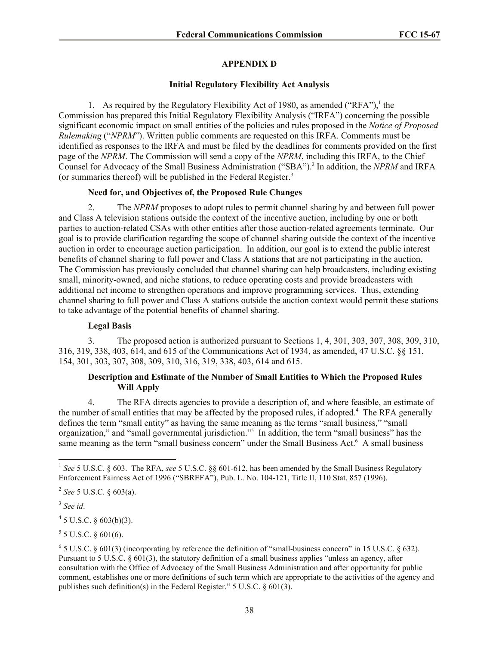# **APPENDIX D**

### **Initial Regulatory Flexibility Act Analysis**

1. As required by the Regulatory Flexibility Act of 1980, as amended ("RFA"),<sup>1</sup> the Commission has prepared this Initial Regulatory Flexibility Analysis ("IRFA") concerning the possible significant economic impact on small entities of the policies and rules proposed in the *Notice of Proposed Rulemaking* ("*NPRM*"). Written public comments are requested on this IRFA. Comments must be identified as responses to the IRFA and must be filed by the deadlines for comments provided on the first page of the *NPRM*. The Commission will send a copy of the *NPRM*, including this IRFA, to the Chief Counsel for Advocacy of the Small Business Administration ("SBA").<sup>2</sup> In addition, the *NPRM* and IRFA (or summaries thereof) will be published in the Federal Register. 3

# **Need for, and Objectives of, the Proposed Rule Changes**

2. The *NPRM* proposes to adopt rules to permit channel sharing by and between full power and Class A television stations outside the context of the incentive auction, including by one or both parties to auction-related CSAs with other entities after those auction-related agreements terminate. Our goal is to provide clarification regarding the scope of channel sharing outside the context of the incentive auction in order to encourage auction participation. In addition, our goal is to extend the public interest benefits of channel sharing to full power and Class A stations that are not participating in the auction. The Commission has previously concluded that channel sharing can help broadcasters, including existing small, minority-owned, and niche stations, to reduce operating costs and provide broadcasters with additional net income to strengthen operations and improve programming services. Thus, extending channel sharing to full power and Class A stations outside the auction context would permit these stations to take advantage of the potential benefits of channel sharing.

### **Legal Basis**

3. The proposed action is authorized pursuant to Sections 1, 4, 301, 303, 307, 308, 309, 310, 316, 319, 338, 403, 614, and 615 of the Communications Act of 1934, as amended, 47 U.S.C. §§ 151, 154, 301, 303, 307, 308, 309, 310, 316, 319, 338, 403, 614 and 615.

# **Description and Estimate of the Number of Small Entities to Which the Proposed Rules Will Apply**

4. The RFA directs agencies to provide a description of, and where feasible, an estimate of the number of small entities that may be affected by the proposed rules, if adopted.<sup>4</sup> The RFA generally defines the term "small entity" as having the same meaning as the terms "small business," "small organization," and "small governmental jurisdiction."<sup>5</sup> In addition, the term "small business" has the same meaning as the term "small business concern" under the Small Business Act.<sup>6</sup> A small business

 $\overline{a}$ 

 $4\,$  5 U.S.C. § 603(b)(3).

 $5$  5 U.S.C. § 601(6).

<sup>&</sup>lt;sup>1</sup> See 5 U.S.C. § 603. The RFA, see 5 U.S.C. §§ 601-612, has been amended by the Small Business Regulatory Enforcement Fairness Act of 1996 ("SBREFA"), Pub. L. No. 104-121, Title II, 110 Stat. 857 (1996).

<sup>2</sup> *See* 5 U.S.C. § 603(a).

<sup>3</sup> *See id*.

 $6$  5 U.S.C. § 601(3) (incorporating by reference the definition of "small-business concern" in 15 U.S.C. § 632). Pursuant to 5 U.S.C. § 601(3), the statutory definition of a small business applies "unless an agency, after consultation with the Office of Advocacy of the Small Business Administration and after opportunity for public comment, establishes one or more definitions of such term which are appropriate to the activities of the agency and publishes such definition(s) in the Federal Register." 5 U.S.C. § 601(3).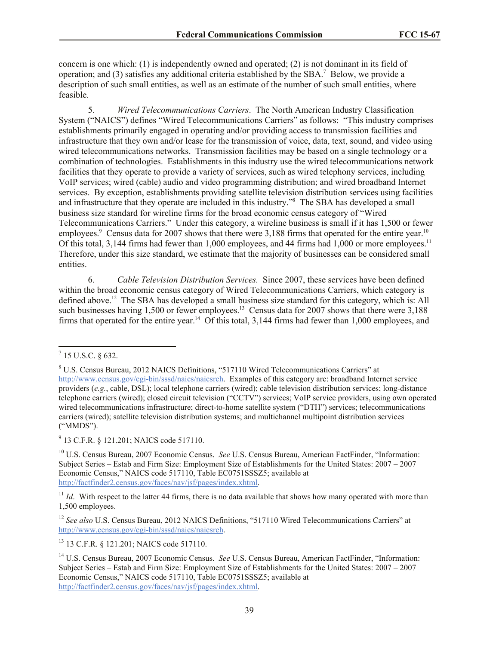concern is one which: (1) is independently owned and operated; (2) is not dominant in its field of operation; and (3) satisfies any additional criteria established by the SBA.<sup>7</sup> Below, we provide a description of such small entities, as well as an estimate of the number of such small entities, where feasible.

5. *Wired Telecommunications Carriers*. The North American Industry Classification System ("NAICS") defines "Wired Telecommunications Carriers" as follows: "This industry comprises establishments primarily engaged in operating and/or providing access to transmission facilities and infrastructure that they own and/or lease for the transmission of voice, data, text, sound, and video using wired telecommunications networks. Transmission facilities may be based on a single technology or a combination of technologies. Establishments in this industry use the wired telecommunications network facilities that they operate to provide a variety of services, such as wired telephony services, including VoIP services; wired (cable) audio and video programming distribution; and wired broadband Internet services. By exception, establishments providing satellite television distribution services using facilities and infrastructure that they operate are included in this industry."<sup>8</sup> The SBA has developed a small business size standard for wireline firms for the broad economic census category of "Wired Telecommunications Carriers." Under this category, a wireline business is small if it has 1,500 or fewer employees.<sup>9</sup> Census data for 2007 shows that there were 3,188 firms that operated for the entire year.<sup>10</sup> Of this total, 3,144 firms had fewer than 1,000 employees, and 44 firms had 1,000 or more employees.<sup>11</sup> Therefore, under this size standard, we estimate that the majority of businesses can be considered small entities.

6. *Cable Television Distribution Services.* Since 2007, these services have been defined within the broad economic census category of Wired Telecommunications Carriers, which category is defined above.<sup>12</sup> The SBA has developed a small business size standard for this category, which is: All such businesses having  $1,500$  or fewer employees.<sup>13</sup> Census data for 2007 shows that there were  $3,188$ firms that operated for the entire year.<sup>14</sup> Of this total,  $3,144$  firms had fewer than 1,000 employees, and

<sup>9</sup> 13 C.F.R. § 121.201; NAICS code 517110.

<sup>10</sup> U.S. Census Bureau, 2007 Economic Census. *See* U.S. Census Bureau, American FactFinder, "Information: Subject Series – Estab and Firm Size: Employment Size of Establishments for the United States: 2007 – 2007 Economic Census," NAICS code 517110, Table EC0751SSSZ5; available at http://factfinder2.census.gov/faces/nav/jsf/pages/index.xhtml.

 $11$  *Id.* With respect to the latter 44 firms, there is no data available that shows how many operated with more than 1,500 employees.

<sup>12</sup> See also U.S. Census Bureau, 2012 NAICS Definitions, "517110 Wired Telecommunications Carriers" at http://www.census.gov/cgi-bin/sssd/naics/naicsrch.

<sup>13</sup> 13 C.F.R. § 121.201; NAICS code 517110.

 $\frac{1}{7}$  15 U.S.C. § 632.

<sup>8</sup> U.S. Census Bureau, 2012 NAICS Definitions, "517110 Wired Telecommunications Carriers" at http://www.census.gov/cgi-bin/sssd/naics/naicsrch. Examples of this category are: broadband Internet service providers (*e.g.*, cable, DSL); local telephone carriers (wired); cable television distribution services; long-distance telephone carriers (wired); closed circuit television ("CCTV") services; VoIP service providers, using own operated wired telecommunications infrastructure; direct-to-home satellite system ("DTH") services; telecommunications carriers (wired); satellite television distribution systems; and multichannel multipoint distribution services ("MMDS").

<sup>14</sup> U.S. Census Bureau, 2007 Economic Census. *See* U.S. Census Bureau, American FactFinder, "Information: Subject Series – Estab and Firm Size: Employment Size of Establishments for the United States: 2007 – 2007 Economic Census," NAICS code 517110, Table EC0751SSSZ5; available at http://factfinder2.census.gov/faces/nav/jsf/pages/index.xhtml.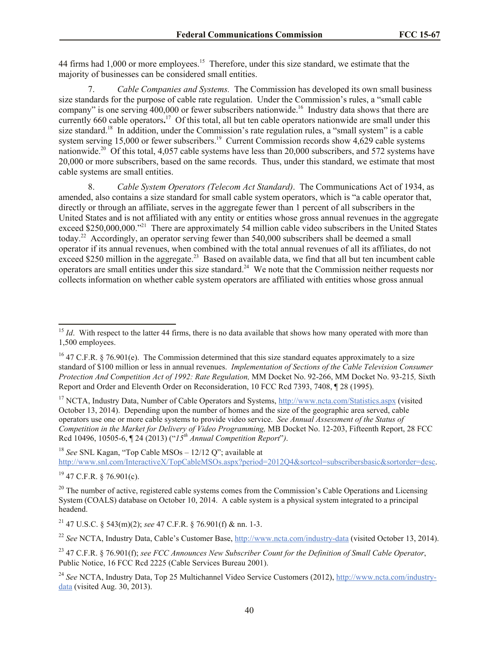44 firms had 1,000 or more employees.<sup>15</sup> Therefore, under this size standard, we estimate that the majority of businesses can be considered small entities.

7. *Cable Companies and Systems.* The Commission has developed its own small business size standards for the purpose of cable rate regulation. Under the Commission's rules, a "small cable company" is one serving 400,000 or fewer subscribers nationwide.<sup>16</sup> Industry data shows that there are currently 660 cable operators.<sup>17</sup> Of this total, all but ten cable operators nationwide are small under this size standard.<sup>18</sup> In addition, under the Commission's rate regulation rules, a "small system" is a cable system serving 15,000 or fewer subscribers.<sup>19</sup> Current Commission records show 4,629 cable systems nationwide.<sup>20</sup> Of this total, 4,057 cable systems have less than  $20,000$  subscribers, and 572 systems have 20,000 or more subscribers, based on the same records. Thus, under this standard, we estimate that most cable systems are small entities.

8. *Cable System Operators (Telecom Act Standard)*.The Communications Act of 1934, as amended, also contains a size standard for small cable system operators, which is "a cable operator that, directly or through an affiliate, serves in the aggregate fewer than 1 percent of all subscribers in the United States and is not affiliated with any entity or entities whose gross annual revenues in the aggregate exceed \$250,000,000."<sup>21</sup> There are approximately 54 million cable video subscribers in the United States today.<sup>22</sup> Accordingly, an operator serving fewer than 540,000 subscribers shall be deemed a small operator if its annual revenues, when combined with the total annual revenues of all its affiliates, do not exceed \$250 million in the aggregate.<sup>23</sup> Based on available data, we find that all but ten incumbent cable operators are small entities under this size standard.<sup>24</sup> We note that the Commission neither requests nor collects information on whether cable system operators are affiliated with entities whose gross annual

<sup>17</sup> NCTA, Industry Data, Number of Cable Operators and Systems, http://www.ncta.com/Statistics.aspx (visited October 13, 2014). Depending upon the number of homes and the size of the geographic area served, cable operators use one or more cable systems to provide video service. *See Annual Assessment of the Status of Competition in the Market for Delivery of Video Programming,* MB Docket No. 12-203, Fifteenth Report, 28 FCC Rcd 10496, 10505-6, ¶ 24 (2013) ("*15th Annual Competition Report*"*)*.

<sup>18</sup> *See* SNL Kagan, "Top Cable MSOs – 12/12 Q"; available at http://www.snl.com/InteractiveX/TopCableMSOs.aspx?period=2012Q4&sortcol=subscribersbasic&sortorder=desc.

 $19$  47 C.F.R. § 76.901(c).

 $\overline{\phantom{a}}$ 

<sup>21</sup> 47 U.S.C. § 543(m)(2); *see* 47 C.F.R. § 76.901(f) & nn. 1-3.

<sup>22</sup> *See* NCTA, Industry Data, Cable's Customer Base, http://www.ncta.com/industry-data (visited October 13, 2014).

<sup>&</sup>lt;sup>15</sup> *Id*. With respect to the latter 44 firms, there is no data available that shows how many operated with more than 1,500 employees.

<sup>&</sup>lt;sup>16</sup> 47 C.F.R. § 76.901(e). The Commission determined that this size standard equates approximately to a size standard of \$100 million or less in annual revenues. *Implementation of Sections of the Cable Television Consumer Protection And Competition Act of 1992: Rate Regulation,* MM Docket No. 92-266, MM Docket No. 93-215*,* Sixth Report and Order and Eleventh Order on Reconsideration, 10 FCC Rcd 7393, 7408, ¶ 28 (1995).

 $20$  The number of active, registered cable systems comes from the Commission's Cable Operations and Licensing System (COALS) database on October 10, 2014. A cable system is a physical system integrated to a principal headend.

<sup>23</sup> 47 C.F.R. § 76.901(f); *see FCC Announces New Subscriber Count for the Definition of Small Cable Operator*, Public Notice, 16 FCC Rcd 2225 (Cable Services Bureau 2001).

<sup>&</sup>lt;sup>24</sup> See NCTA, Industry Data, Top 25 Multichannel Video Service Customers (2012), http://www.ncta.com/industrydata (visited Aug. 30, 2013).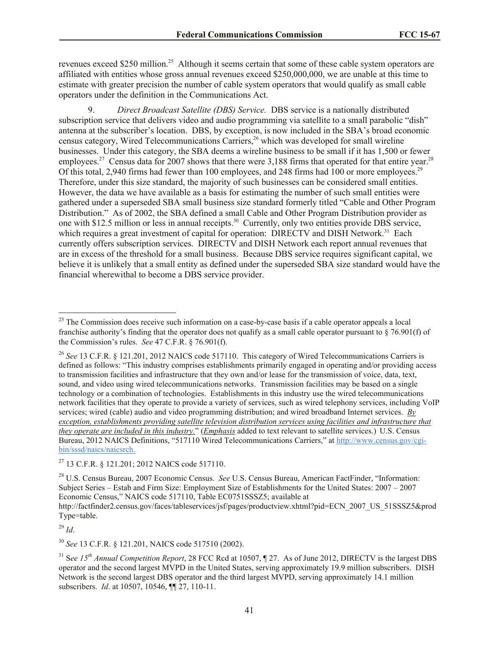revenues exceed \$250 million.<sup>25</sup> Although it seems certain that some of these cable system operators are affiliated with entities whose gross annual revenues exceed \$250,000,000, we are unable at this time to estimate with greater precision the number of cable system operators that would qualify as small cable operators under the definition in the Communications Act.

9. *Direct Broadcast Satellite (DBS) Service.* DBS service is a nationally distributed subscription service that delivers video and audio programming via satellite to a small parabolic "dish" antenna at the subscriber's location. DBS, by exception, is now included in the SBA's broad economic census category, Wired Telecommunications Carriers,<sup>26</sup> which was developed for small wireline businesses. Under this category, the SBA deems a wireline business to be small if it has 1,500 or fewer employees.<sup>27</sup> Census data for 2007 shows that there were 3,188 firms that operated for that entire year.<sup>28</sup> Of this total, 2,940 firms had fewer than 100 employees, and 248 firms had 100 or more employees.<sup>29</sup> Therefore, under this size standard, the majority of such businesses can be considered small entities. However, the data we have available as a basis for estimating the number of such small entities were gathered under a superseded SBA small business size standard formerly titled "Cable and Other Program Distribution." As of 2002, the SBA defined a small Cable and Other Program Distribution provider as one with \$12.5 million or less in annual receipts.<sup>30</sup> Currently, only two entities provide DBS service, which requires a great investment of capital for operation: DIRECTV and DISH Network.<sup>31</sup> Each currently offers subscription services. DIRECTV and DISH Network each report annual revenues that are in excess of the threshold for a small business. Because DBS service requires significant capital, we believe it is unlikely that a small entity as defined under the superseded SBA size standard would have the financial wherewithal to become a DBS service provider.

<sup>29</sup> *Id*.

 $\overline{a}$ 

<sup>30</sup> *See* 13 C.F.R. § 121.201, NAICS code 517510 (2002).

 $25$  The Commission does receive such information on a case-by-case basis if a cable operator appeals a local franchise authority's finding that the operator does not qualify as a small cable operator pursuant to  $\S$  76.901(f) of the Commission's rules. *See* 47 C.F.R. § 76.901(f).

<sup>&</sup>lt;sup>26</sup> See 13 C.F.R. § 121.201, 2012 NAICS code 517110. This category of Wired Telecommunications Carriers is defined as follows: "This industry comprises establishments primarily engaged in operating and/or providing access to transmission facilities and infrastructure that they own and/or lease for the transmission of voice, data, text, sound, and video using wired telecommunications networks. Transmission facilities may be based on a single technology or a combination of technologies. Establishments in this industry use the wired telecommunications network facilities that they operate to provide a variety of services, such as wired telephony services, including VoIP services; wired (cable) audio and video programming distribution; and wired broadband Internet services. *By exception, establishments providing satellite television distribution services using facilities and infrastructure that they operate are included in this industry.*" (*Emphasis* added to text relevant to satellite services.) U.S. Census Bureau, 2012 NAICS Definitions, "517110 Wired Telecommunications Carriers," at http://www.census.gov/cgibin/sssd/naics/naicsrch.

<sup>27</sup> 13 C.F.R. § 121.201; 2012 NAICS code 517110.

<sup>28</sup> U.S. Census Bureau, 2007 Economic Census. *See* U.S. Census Bureau, American FactFinder, "Information: Subject Series – Estab and Firm Size: Employment Size of Establishments for the United States: 2007 – 2007 Economic Census," NAICS code 517110, Table EC0751SSSZ5; available at http://factfinder2.census.gov/faces/tableservices/jsf/pages/productview.xhtml?pid=ECN\_2007\_US\_51SSSZ5&prod Type=table.

<sup>31</sup> S*ee 15th Annual Competition Report*, 28 FCC Rcd at 10507, ¶ 27. As of June 2012, DIRECTV is the largest DBS operator and the second largest MVPD in the United States, serving approximately 19.9 million subscribers. DISH Network is the second largest DBS operator and the third largest MVPD, serving approximately 14.1 million subscribers. *Id*. at 10507, 10546, ¶¶ 27, 110-11.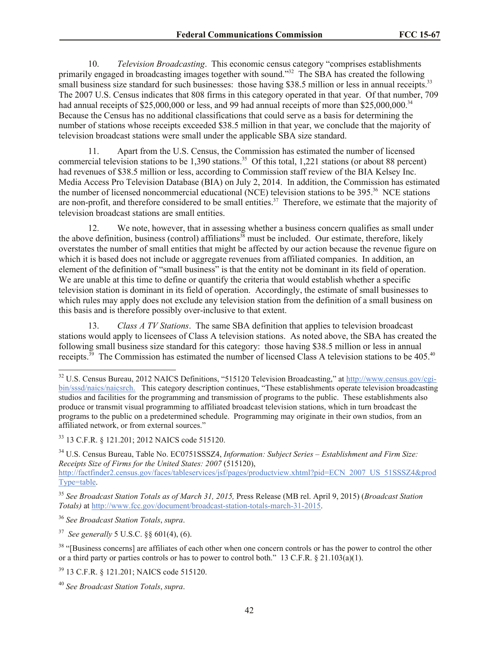10. *Television Broadcasting*. This economic census category "comprises establishments primarily engaged in broadcasting images together with sound."<sup>32</sup> The SBA has created the following small business size standard for such businesses: those having \$38.5 million or less in annual receipts.<sup>33</sup> The 2007 U.S. Census indicates that 808 firms in this category operated in that year. Of that number, 709 had annual receipts of \$25,000,000 or less, and 99 had annual receipts of more than \$25,000,000.<sup>34</sup> Because the Census has no additional classifications that could serve as a basis for determining the number of stations whose receipts exceeded \$38.5 million in that year, we conclude that the majority of television broadcast stations were small under the applicable SBA size standard.

11. Apart from the U.S. Census, the Commission has estimated the number of licensed commercial television stations to be  $1,390$  stations.<sup>35</sup> Of this total,  $1,221$  stations (or about 88 percent) had revenues of \$38.5 million or less, according to Commission staff review of the BIA Kelsey Inc. Media Access Pro Television Database (BIA) on July 2, 2014. In addition, the Commission has estimated the number of licensed noncommercial educational (NCE) television stations to be 395.<sup>36</sup> NCE stations are non-profit, and therefore considered to be small entities.<sup>37</sup> Therefore, we estimate that the majority of television broadcast stations are small entities.

12. We note, however, that in assessing whether a business concern qualifies as small under the above definition, business (control) affiliations<sup>38</sup> must be included. Our estimate, therefore, likely overstates the number of small entities that might be affected by our action because the revenue figure on which it is based does not include or aggregate revenues from affiliated companies. In addition, an element of the definition of "small business" is that the entity not be dominant in its field of operation. We are unable at this time to define or quantify the criteria that would establish whether a specific television station is dominant in its field of operation. Accordingly, the estimate of small businesses to which rules may apply does not exclude any television station from the definition of a small business on this basis and is therefore possibly over-inclusive to that extent.

13. *Class A TV Stations*. The same SBA definition that applies to television broadcast stations would apply to licensees of Class A television stations. As noted above, the SBA has created the following small business size standard for this category: those having \$38.5 million or less in annual receipts.<sup>39</sup> The Commission has estimated the number of licensed Class A television stations to be 405.<sup>40</sup>

<sup>34</sup> U.S. Census Bureau, Table No. EC0751SSSZ4, *Information: Subject Series – Establishment and Firm Size: Receipts Size of Firms for the United States: 2007* (515120), http://factfinder2.census.gov/faces/tableservices/jsf/pages/productview.xhtml?pid=ECN\_2007\_US\_51SSSZ4&prod

Type=table.

<sup>35</sup> *See Broadcast Station Totals as of March 31, 2015,* Press Release (MB rel. April 9, 2015) (*Broadcast Station Totals)* at http://www.fcc.gov/document/broadcast-station-totals-march-31-2015.

<sup>36</sup> *See Broadcast Station Totals*, *supra*.

 $\overline{a}$ 

37 *See generally* 5 U.S.C. §§ 601(4), (6).

<sup>38</sup> "[Business concerns] are affiliates of each other when one concern controls or has the power to control the other or a third party or parties controls or has to power to control both." 13 C.F.R. § 21.103(a)(1).

<sup>39</sup> 13 C.F.R. § 121.201; NAICS code 515120.

<sup>&</sup>lt;sup>32</sup> U.S. Census Bureau, 2012 NAICS Definitions, "515120 Television Broadcasting," at http://www.census.gov/cgibin/sssd/naics/naicsrch. This category description continues, "These establishments operate television broadcasting studios and facilities for the programming and transmission of programs to the public. These establishments also produce or transmit visual programming to affiliated broadcast television stations, which in turn broadcast the programs to the public on a predetermined schedule. Programming may originate in their own studios, from an affiliated network, or from external sources."

<sup>33</sup> 13 C.F.R. § 121.201; 2012 NAICS code 515120.

<sup>40</sup> *See Broadcast Station Totals*, *supra*.